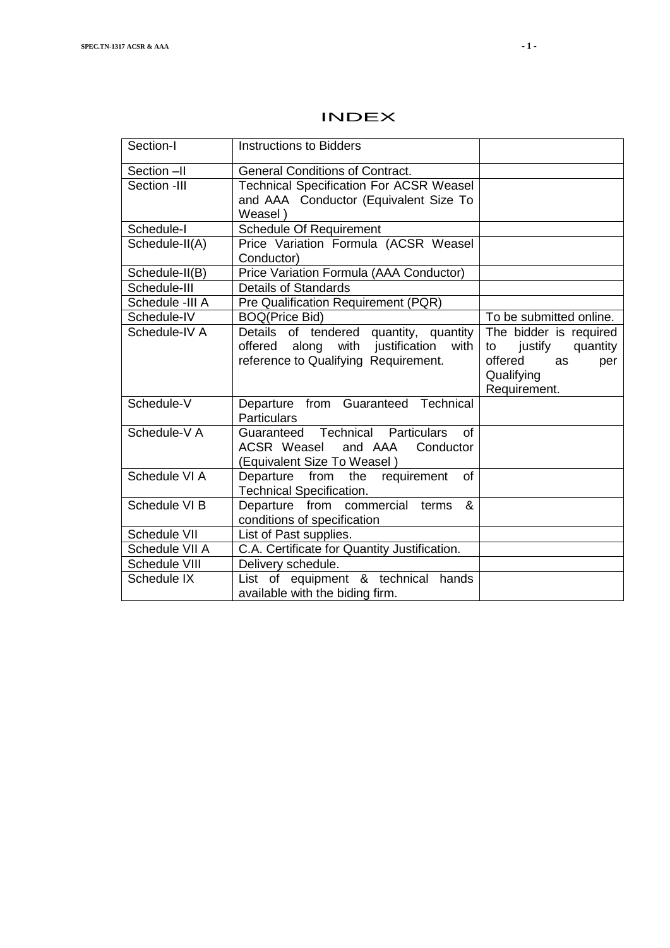| Section-I       | <b>Instructions to Bidders</b>                                         |                           |
|-----------------|------------------------------------------------------------------------|---------------------------|
| Section -II     | <b>General Conditions of Contract.</b>                                 |                           |
| Section -III    | <b>Technical Specification For ACSR Weasel</b>                         |                           |
|                 | and AAA Conductor (Equivalent Size To                                  |                           |
|                 | Weasel)                                                                |                           |
| Schedule-I      | Schedule Of Requirement                                                |                           |
| Schedule-II(A)  | Price Variation Formula (ACSR Weasel<br>Conductor)                     |                           |
| Schedule-II(B)  | Price Variation Formula (AAA Conductor)                                |                           |
| Schedule-III    | <b>Details of Standards</b>                                            |                           |
| Schedule -III A | Pre Qualification Requirement (PQR)                                    |                           |
| Schedule-IV     | <b>BOQ(Price Bid)</b>                                                  | To be submitted online.   |
| Schedule-IV A   | Details of tendered quantity, quantity                                 | The bidder is required    |
|                 | offered along with justification<br>with                               | justify<br>quantity<br>to |
|                 | reference to Qualifying Requirement.                                   | offered<br>as<br>per      |
|                 |                                                                        | Qualifying                |
|                 |                                                                        | Requirement.              |
| Schedule-V      | Departure from Guaranteed Technical                                    |                           |
|                 | <b>Particulars</b>                                                     |                           |
| Schedule-V A    | Guaranteed Technical Particulars<br>Ωf                                 |                           |
|                 | ACSR Weasel<br>and AAA<br>Conductor                                    |                           |
|                 | (Equivalent Size To Weasel)                                            |                           |
| Schedule VI A   | Departure from the requirement<br>Ωf                                   |                           |
|                 | <b>Technical Specification.</b>                                        |                           |
| Schedule VI B   | Departure from commercial<br>&<br>terms<br>conditions of specification |                           |
| Schedule VII    | List of Past supplies.                                                 |                           |
| Schedule VII A  | C.A. Certificate for Quantity Justification.                           |                           |
| Schedule VIII   |                                                                        |                           |
|                 | Delivery schedule.                                                     |                           |
| Schedule IX     | List of equipment & technical<br>hands                                 |                           |

# INDEX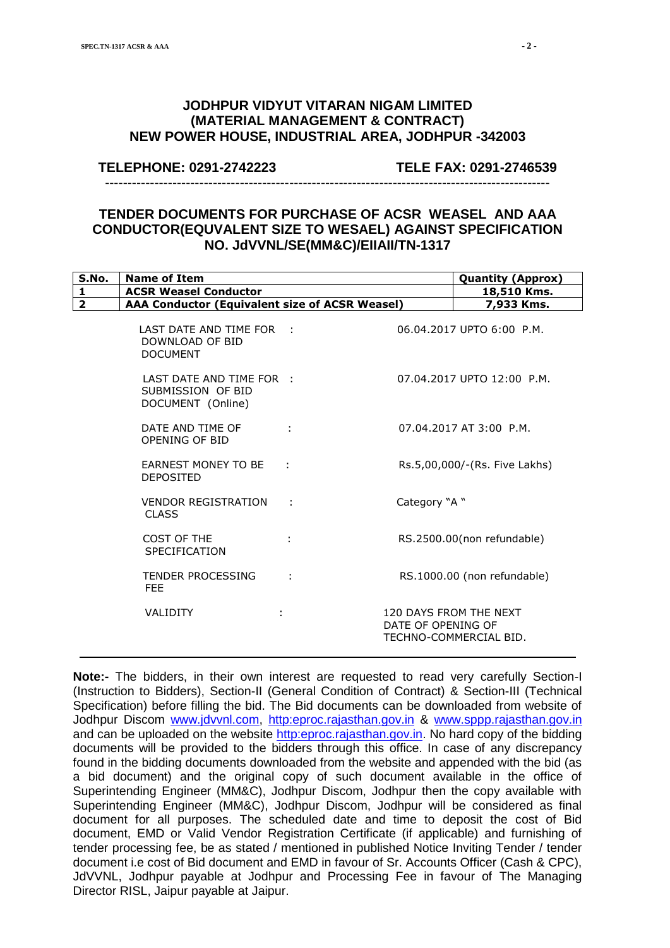# **JODHPUR VIDYUT VITARAN NIGAM LIMITED (MATERIAL MANAGEMENT & CONTRACT) NEW POWER HOUSE, INDUSTRIAL AREA, JODHPUR -342003**

**TELEPHONE: 0291-2742223 TELE FAX: 0291-2746539**

# **TENDER DOCUMENTS FOR PURCHASE OF ACSR WEASEL AND AAA CONDUCTOR(EQUVALENT SIZE TO WESAEL) AGAINST SPECIFICATION NO. JdVVNL/SE(MM&C)/EIIAII/TN-1317**

---------------------------------------------------------------------------------------------------

| S.No.        | <b>Name of Item</b>                                                |   |                    | <b>Quantity (Approx)</b>                         |
|--------------|--------------------------------------------------------------------|---|--------------------|--------------------------------------------------|
| $\mathbf{1}$ | <b>ACSR Weasel Conductor</b>                                       |   |                    | 18,510 Kms.                                      |
| $\mathbf{2}$ | AAA Conductor (Equivalent size of ACSR Weasel)                     |   |                    | 7,933 Kms.                                       |
|              | LAST DATE AND TIME FOR :<br>DOWNLOAD OF BID<br><b>DOCUMENT</b>     |   |                    | 06.04.2017 UPTO 6:00 P.M.                        |
|              | LAST DATE AND TIME FOR :<br>SUBMISSION OF BID<br>DOCUMENT (Online) |   |                    | 07.04.2017 UPTO 12:00 P.M.                       |
|              | DATE AND TIME OF<br>OPENING OF BID                                 |   |                    | 07.04.2017 AT 3:00 P.M.                          |
|              | <b>EARNEST MONEY TO BE</b><br><b>DEPOSITED</b>                     |   |                    | Rs.5,00,000/-(Rs. Five Lakhs)                    |
|              | <b>VENDOR REGISTRATION</b><br><b>CLASS</b>                         | ÷ | "A "               |                                                  |
|              | COST OF THE<br><b>SPECIFICATION</b>                                |   |                    | RS.2500.00(non refundable)                       |
|              | <b>TENDER PROCESSING</b><br>FEE.                                   |   |                    | RS.1000.00 (non refundable)                      |
|              | <b>VALIDITY</b>                                                    |   | DATE OF OPENING OF | 120 DAYS FROM THE NEXT<br>TECHNO-COMMERCIAL BID. |

**Note:-** The bidders, in their own interest are requested to read very carefully Section-I (Instruction to Bidders), Section-II (General Condition of Contract) & Section-III (Technical Specification) before filling the bid. The Bid documents can be downloaded from website of Jodhpur Discom [www.jdvvnl.com,](http://www.jdvvnl.com/) [http:eproc.rajasthan.gov.in](Specs%20Section-III%20.doc) & [www.sppp.rajasthan.gov.in](http://www.sppp.rajasthan.gov.in/) and can be uploaded on the website [http:eproc.rajasthan.gov.in.](file:\\192.168.16.65\sk%20bhati%20sir\d\S%20K%20Bhati%20c%20drive\ss\SKB\Bhati-08\TN-937%20Onwards%20(2013-14)\TN-943%2033%20KV%20Pin%20Insulator\Specs%20Section-III%20.doc) No hard copy of the bidding documents will be provided to the bidders through this office. In case of any discrepancy found in the bidding documents downloaded from the website and appended with the bid (as a bid document) and the original copy of such document available in the office of Superintending Engineer (MM&C), Jodhpur Discom, Jodhpur then the copy available with Superintending Engineer (MM&C), Jodhpur Discom, Jodhpur will be considered as final document for all purposes. The scheduled date and time to deposit the cost of Bid document, EMD or Valid Vendor Registration Certificate (if applicable) and furnishing of tender processing fee, be as stated / mentioned in published Notice Inviting Tender / tender document i.e cost of Bid document and EMD in favour of Sr. Accounts Officer (Cash & CPC), JdVVNL, Jodhpur payable at Jodhpur and Processing Fee in favour of The Managing Director RISL, Jaipur payable at Jaipur.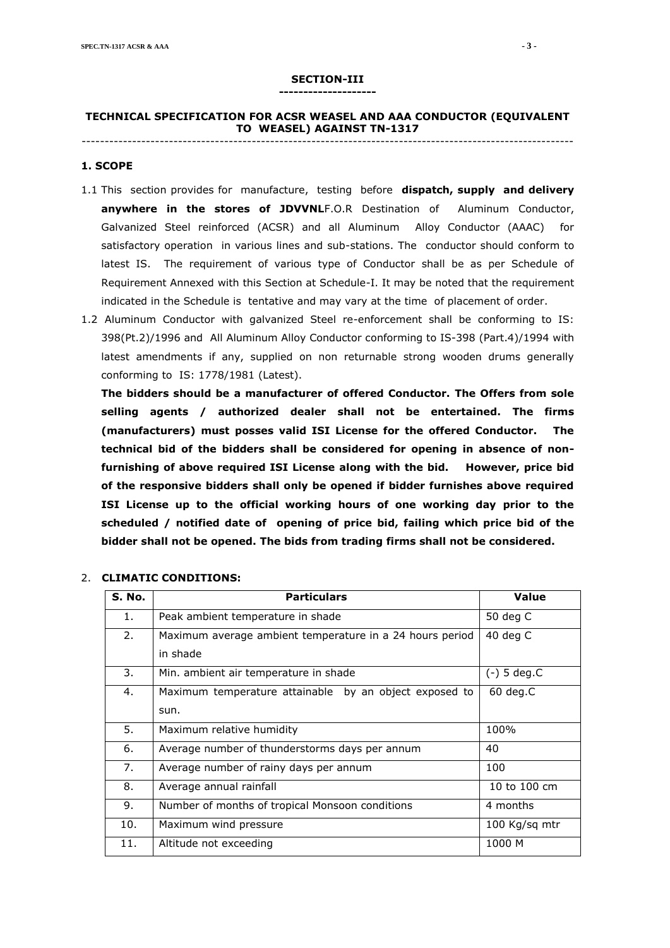#### **SECTION-III --------------------**

#### **TECHNICAL SPECIFICATION FOR ACSR WEASEL AND AAA CONDUCTOR (EQUIVALENT TO WEASEL) AGAINST TN-1317** -----------------------------------------------------------------------------------------------------------

#### **1. SCOPE**

- 1.1 This section provides for manufacture, testing before **dispatch, supply and delivery anywhere in the stores of JDVVNL**F.O.R Destination of Aluminum Conductor, Galvanized Steel reinforced (ACSR) and all Aluminum Alloy Conductor (AAAC) for satisfactory operation in various lines and sub-stations. The conductor should conform to latest IS. The requirement of various type of Conductor shall be as per Schedule of Requirement Annexed with this Section at Schedule-I. It may be noted that the requirement indicated in the Schedule is tentative and may vary at the time of placement of order.
- 1.2 Aluminum Conductor with galvanized Steel re-enforcement shall be conforming to IS: 398(Pt.2)/1996 and All Aluminum Alloy Conductor conforming to IS-398 (Part.4)/1994 with latest amendments if any, supplied on non returnable strong wooden drums generally conforming to IS: 1778/1981 (Latest).

**The bidders should be a manufacturer of offered Conductor. The Offers from sole selling agents / authorized dealer shall not be entertained. The firms (manufacturers) must posses valid ISI License for the offered Conductor. The technical bid of the bidders shall be considered for opening in absence of nonfurnishing of above required ISI License along with the bid. However, price bid of the responsive bidders shall only be opened if bidder furnishes above required ISI License up to the official working hours of one working day prior to the scheduled / notified date of opening of price bid, failing which price bid of the bidder shall not be opened. The bids from trading firms shall not be considered.**

| S. No. | <b>Particulars</b>                                       | Value         |
|--------|----------------------------------------------------------|---------------|
| 1.     | Peak ambient temperature in shade                        | 50 deg C      |
| 2.     | Maximum average ambient temperature in a 24 hours period | 40 deg $C$    |
|        | in shade                                                 |               |
| 3.     | Min. ambient air temperature in shade                    | $(-)$ 5 deg.C |
| 4.     | Maximum temperature attainable by an object exposed to   | $60$ deg. $C$ |
|        | sun.                                                     |               |
| 5.     | Maximum relative humidity                                | 100%          |
| 6.     | Average number of thunderstorms days per annum           | 40            |
| 7.     | Average number of rainy days per annum                   | 100           |
| 8.     | Average annual rainfall                                  | 10 to 100 cm  |
| 9.     | Number of months of tropical Monsoon conditions          | 4 months      |
| 10.    | Maximum wind pressure                                    | 100 Kg/sq mtr |
| 11.    | Altitude not exceeding                                   | 1000 M        |

#### 2. **CLIMATIC CONDITIONS:**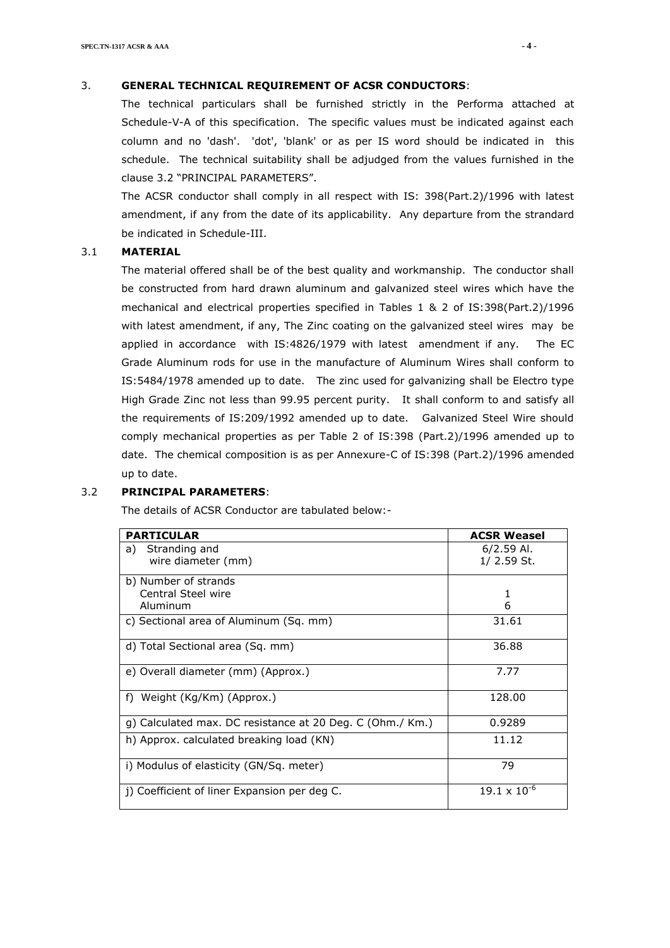#### 3. **GENERAL TECHNICAL REQUIREMENT OF ACSR CONDUCTORS**:

The technical particulars shall be furnished strictly in the Performa attached at Schedule-V-A of this specification. The specific values must be indicated against each column and no 'dash'. 'dot', 'blank' or as per IS word should be indicated in this schedule. The technical suitability shall be adjudged from the values furnished in the clause 3.2 "PRINCIPAL PARAMETERS".

The ACSR conductor shall comply in all respect with IS: 398(Part.2)/1996 with latest amendment, if any from the date of its applicability. Any departure from the strandard be indicated in Schedule-III.

#### 3.1 **MATERIAL**

The material offered shall be of the best quality and workmanship. The conductor shall be constructed from hard drawn aluminum and galvanized steel wires which have the mechanical and electrical properties specified in Tables 1 & 2 of IS:398(Part.2)/1996 with latest amendment, if any, The Zinc coating on the galvanized steel wires may be applied in accordance with IS:4826/1979 with latest amendment if any. The EC Grade Aluminum rods for use in the manufacture of Aluminum Wires shall conform to IS:5484/1978 amended up to date. The zinc used for galvanizing shall be Electro type High Grade Zinc not less than 99.95 percent purity. It shall conform to and satisfy all the requirements of IS:209/1992 amended up to date. Galvanized Steel Wire should comply mechanical properties as per Table 2 of IS:398 (Part.2)/1996 amended up to date. The chemical composition is as per Annexure-C of IS:398 (Part.2)/1996 amended up to date.

#### 3.2 **PRINCIPAL PARAMETERS**:

The details of ACSR Conductor are tabulated below:-

| <b>PARTICULAR</b>                                         | <b>ACSR Weasel</b>            |
|-----------------------------------------------------------|-------------------------------|
| Stranding and<br>a)<br>wire diameter (mm)                 | $6/2.59$ Al.<br>$1/$ 2.59 St. |
| b) Number of strands<br>Central Steel wire<br>Aluminum    | 1<br>6                        |
| c) Sectional area of Aluminum (Sq. mm)                    | 31.61                         |
| d) Total Sectional area (Sq. mm)                          | 36.88                         |
| e) Overall diameter (mm) (Approx.)                        | 7.77                          |
| f) Weight (Kg/Km) (Approx.)                               | 128.00                        |
| g) Calculated max. DC resistance at 20 Deg. C (Ohm./ Km.) | 0.9289                        |
| h) Approx. calculated breaking load (KN)                  | 11.12                         |
| i) Modulus of elasticity (GN/Sq. meter)                   | 79                            |
| j) Coefficient of liner Expansion per deg C.              | $19.1 \times 10^{-6}$         |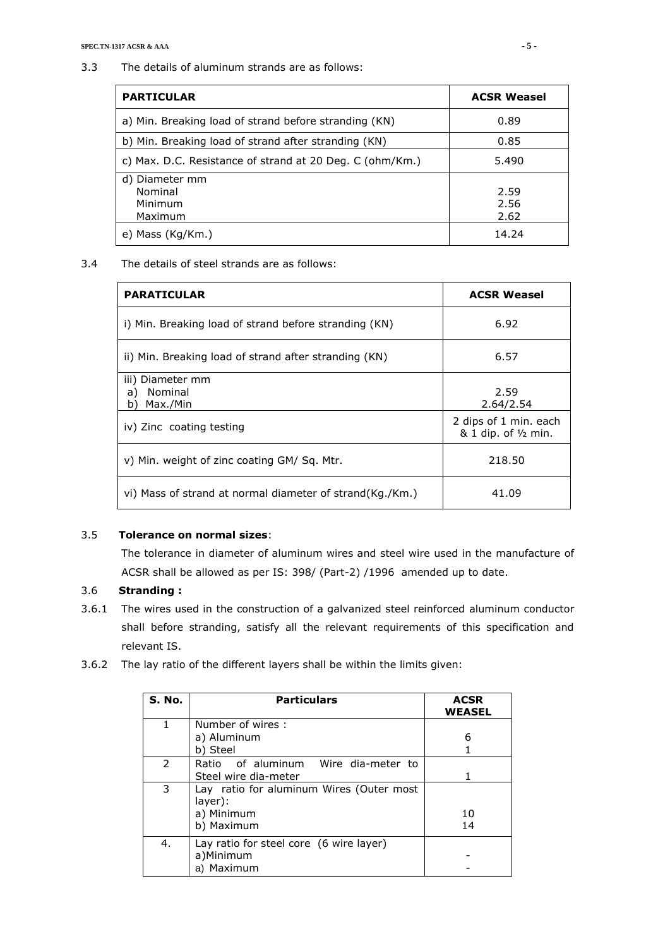3.3 The details of aluminum strands are as follows:

| <b>PARTICULAR</b>                                        | <b>ACSR Weasel</b>   |
|----------------------------------------------------------|----------------------|
| a) Min. Breaking load of strand before stranding (KN)    | 0.89                 |
| b) Min. Breaking load of strand after stranding (KN)     | 0.85                 |
| c) Max. D.C. Resistance of strand at 20 Deg. C (ohm/Km.) | 5.490                |
| d) Diameter mm<br>Nominal<br>Minimum<br>Maximum          | 2.59<br>2.56<br>2.62 |
| e) Mass (Kg/Km.)                                         | 14.24                |

3.4 The details of steel strands are as follows:

| <b>PARATICULAR</b>                                       | <b>ACSR Weasel</b>                            |
|----------------------------------------------------------|-----------------------------------------------|
| i) Min. Breaking load of strand before stranding (KN)    | 6.92                                          |
| ii) Min. Breaking load of strand after stranding (KN)    | 6.57                                          |
| iii) Diameter mm<br>Nominal<br>a)<br>Max./Min<br>þ`      | 2.59<br>2.64/2.54                             |
| iv) Zinc coating testing                                 | 2 dips of 1 min. each<br>& 1 dip. of 1/2 min. |
| v) Min. weight of zinc coating GM/ Sg. Mtr.              | 218.50                                        |
| vi) Mass of strand at normal diameter of strand(Kg./Km.) | 41.09                                         |

## 3.5 **Tolerance on normal sizes**:

The tolerance in diameter of aluminum wires and steel wire used in the manufacture of ACSR shall be allowed as per IS: 398/ (Part-2) /1996 amended up to date.

## 3.6 **Stranding :**

- 3.6.1 The wires used in the construction of a galvanized steel reinforced aluminum conductor shall before stranding, satisfy all the relevant requirements of this specification and relevant IS.
- 3.6.2 The lay ratio of the different layers shall be within the limits given:

| S. No. | <b>Particulars</b>                                                              | <b>ACSR</b><br><b>WEASEL</b> |
|--------|---------------------------------------------------------------------------------|------------------------------|
| 1      | Number of wires:<br>a) Aluminum<br>b) Steel                                     | 6                            |
| 2      | Ratio of aluminum Wire dia-meter to<br>Steel wire dia-meter                     |                              |
| 3      | Lay ratio for aluminum Wires (Outer most<br>layer):<br>a) Minimum<br>b) Maximum | 10<br>14                     |
| 4.     | Lay ratio for steel core (6 wire layer)<br>a)Minimum<br>a) Maximum              |                              |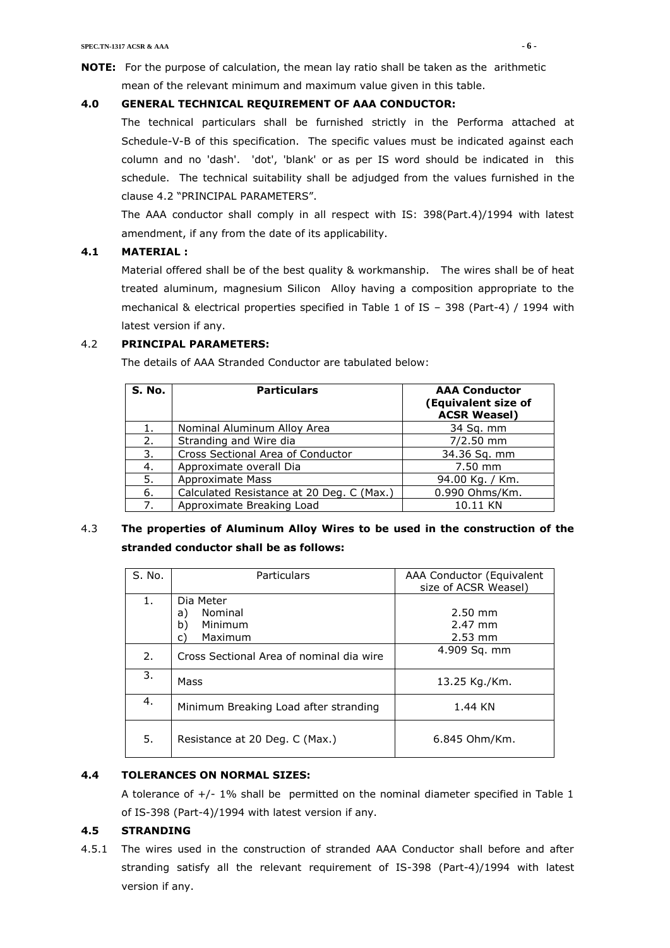**NOTE:** For the purpose of calculation, the mean lay ratio shall be taken as the arithmetic mean of the relevant minimum and maximum value given in this table.

## **4.0 GENERAL TECHNICAL REQUIREMENT OF AAA CONDUCTOR:**

The technical particulars shall be furnished strictly in the Performa attached at Schedule-V-B of this specification. The specific values must be indicated against each column and no 'dash'. 'dot', 'blank' or as per IS word should be indicated in this schedule. The technical suitability shall be adjudged from the values furnished in the clause 4.2 "PRINCIPAL PARAMETERS".

The AAA conductor shall comply in all respect with IS: 398(Part.4)/1994 with latest amendment, if any from the date of its applicability.

## **4.1 MATERIAL :**

Material offered shall be of the best quality & workmanship. The wires shall be of heat treated aluminum, magnesium Silicon Alloy having a composition appropriate to the mechanical & electrical properties specified in Table 1 of IS – 398 (Part-4) / 1994 with latest version if any.

## 4.2 **PRINCIPAL PARAMETERS:**

The details of AAA Stranded Conductor are tabulated below:

| S. No. | <b>Particulars</b>                        | <b>AAA Conductor</b><br>(Equivalent size of<br><b>ACSR Weasel)</b> |
|--------|-------------------------------------------|--------------------------------------------------------------------|
| 1.     | Nominal Aluminum Alloy Area               | 34 Sq. mm                                                          |
| 2.     | Stranding and Wire dia                    | $7/2.50$ mm                                                        |
| 3.     | Cross Sectional Area of Conductor         | 34.36 Sq. mm                                                       |
| 4.     | Approximate overall Dia                   | $7.50$ mm                                                          |
| 5.     | Approximate Mass                          | 94.00 Kg. / Km.                                                    |
| 6.     | Calculated Resistance at 20 Deg. C (Max.) | 0.990 Ohms/Km.                                                     |
| 7.     | Approximate Breaking Load                 | 10.11 KN                                                           |

# 4.3 **The properties of Aluminum Alloy Wires to be used in the construction of the stranded conductor shall be as follows:**

| S. No. | <b>Particulars</b>                                           | AAA Conductor (Equivalent<br>size of ACSR Weasel) |
|--------|--------------------------------------------------------------|---------------------------------------------------|
| 1.     | Dia Meter<br>Nominal<br>a)<br>b)<br>Minimum<br>Maximum<br>c) | $2.50$ mm<br>2.47 mm<br>$2.53$ mm                 |
| 2.     | Cross Sectional Area of nominal dia wire                     | 4.909 Sq. mm                                      |
| 3.     | Mass                                                         | 13.25 Kg./Km.                                     |
| 4.     | Minimum Breaking Load after stranding                        | 1.44 KN                                           |
| 5.     | Resistance at 20 Deg. C (Max.)                               | 6.845 Ohm/Km.                                     |

## **4.4 TOLERANCES ON NORMAL SIZES:**

A tolerance of +/- 1% shall be permitted on the nominal diameter specified in Table 1 of IS-398 (Part-4)/1994 with latest version if any.

## **4.5 STRANDING**

4.5.1 The wires used in the construction of stranded AAA Conductor shall before and after stranding satisfy all the relevant requirement of IS-398 (Part-4)/1994 with latest version if any.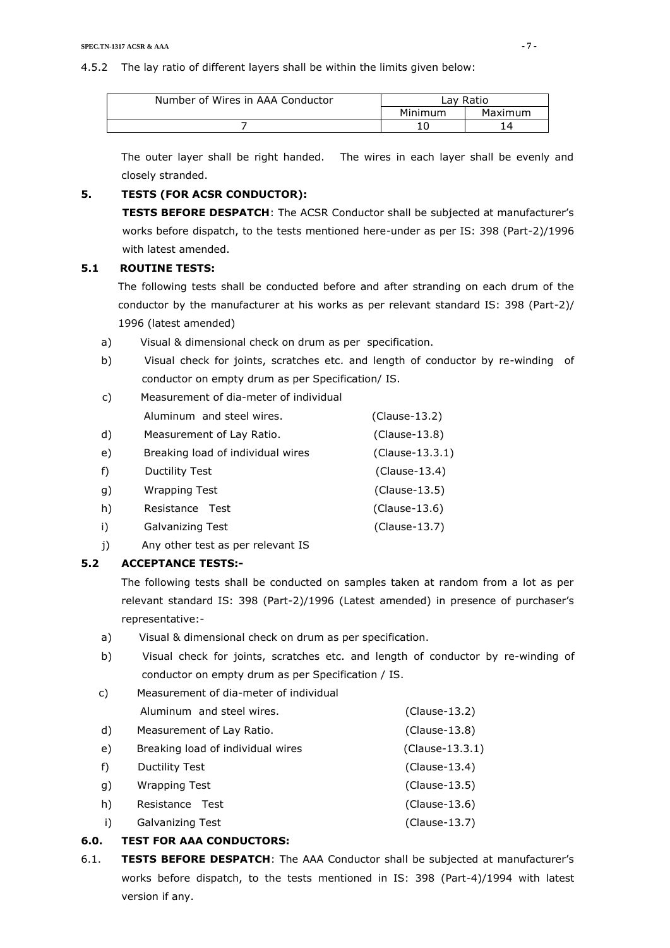| Number of Wires in AAA Conductor |         | ∟av Ratio |
|----------------------------------|---------|-----------|
|                                  | Minimum | Maximum   |
|                                  |         | 4         |

The outer layer shall be right handed. The wires in each layer shall be evenly and closely stranded.

## **5. TESTS (FOR ACSR CONDUCTOR):**

**TESTS BEFORE DESPATCH**: The ACSR Conductor shall be subjected at manufacturer's works before dispatch, to the tests mentioned here-under as per IS: 398 (Part-2)/1996 with latest amended.

### **5.1 ROUTINE TESTS:**

The following tests shall be conducted before and after stranding on each drum of the conductor by the manufacturer at his works as per relevant standard IS: 398 (Part-2)/ 1996 (latest amended)

- a) Visual & dimensional check on drum as per specification.
- b) Visual check for joints, scratches etc. and length of conductor by re-winding of conductor on empty drum as per Specification/ IS.
- c) Measurement of dia-meter of individual Aluminum and steel wires. (Clause-13.2) d) Measurement of Lay Ratio. (Clause-13.8) e) Breaking load of individual wires (Clause-13.3.1) f) Ductility Test (Clause-13.4)
- g) Wrapping Test (Clause-13.5)
- h) Resistance Test (Clause-13.6)
- i) Galvanizing Test (Clause-13.7)
- *i*) Any other test as per relevant IS

## **5.2 ACCEPTANCE TESTS:-**

The following tests shall be conducted on samples taken at random from a lot as per relevant standard IS: 398 (Part-2)/1996 (Latest amended) in presence of purchaser's representative:-

- a) Visual & dimensional check on drum as per specification.
- b) Visual check for joints, scratches etc. and length of conductor by re-winding of conductor on empty drum as per Specification / IS.
- c) Measurement of dia-meter of individual Aluminum and steel wires. (Clause-13.2) d) Measurement of Lay Ratio. (Clause-13.8) e) Breaking load of individual wires (Clause-13.3.1) f) Ductility Test (Clause-13.4) g) Wrapping Test (Clause-13.5) h) Resistance Test (Clause-13.6) i) Galvanizing Test (Clause-13.7)

## **6.0. TEST FOR AAA CONDUCTORS:**

6.1. **TESTS BEFORE DESPATCH**: The AAA Conductor shall be subjected at manufacturer's works before dispatch, to the tests mentioned in IS: 398 (Part-4)/1994 with latest version if any.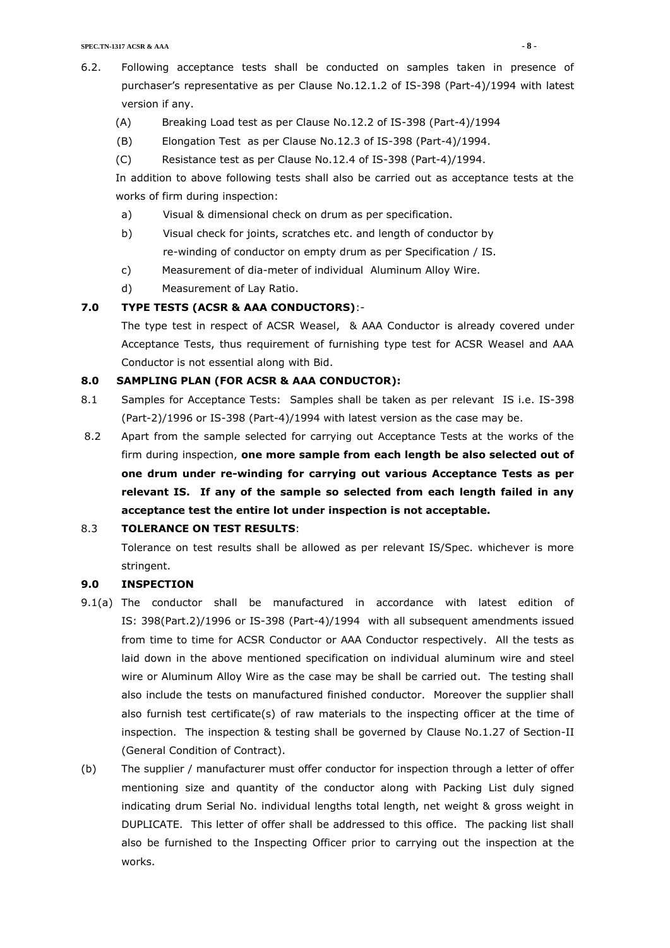- 6.2. Following acceptance tests shall be conducted on samples taken in presence of purchaser's representative as per Clause No.12.1.2 of IS-398 (Part-4)/1994 with latest version if any.
	- (A) Breaking Load test as per Clause No.12.2 of IS-398 (Part-4)/1994
	- (B) Elongation Test as per Clause No.12.3 of IS-398 (Part-4)/1994.
	- (C) Resistance test as per Clause No.12.4 of IS-398 (Part-4)/1994.

In addition to above following tests shall also be carried out as acceptance tests at the works of firm during inspection:

- a) Visual & dimensional check on drum as per specification.
- b) Visual check for joints, scratches etc. and length of conductor by re-winding of conductor on empty drum as per Specification / IS.
- c) Measurement of dia-meter of individual Aluminum Alloy Wire.
- d) Measurement of Lay Ratio.

## **7.0 TYPE TESTS (ACSR & AAA CONDUCTORS)**:-

The type test in respect of ACSR Weasel, & AAA Conductor is already covered under Acceptance Tests, thus requirement of furnishing type test for ACSR Weasel and AAA Conductor is not essential along with Bid.

#### **8.0 SAMPLING PLAN (FOR ACSR & AAA CONDUCTOR):**

- 8.1 Samples for Acceptance Tests: Samples shall be taken as per relevant IS i.e. IS-398 (Part-2)/1996 or IS-398 (Part-4)/1994 with latest version as the case may be.
- 8.2 Apart from the sample selected for carrying out Acceptance Tests at the works of the firm during inspection, **one more sample from each length be also selected out of one drum under re-winding for carrying out various Acceptance Tests as per relevant IS. If any of the sample so selected from each length failed in any acceptance test the entire lot under inspection is not acceptable.**

## 8.3 **TOLERANCE ON TEST RESULTS**:

Tolerance on test results shall be allowed as per relevant IS/Spec. whichever is more stringent.

#### **9.0 INSPECTION**

- 9.1(a) The conductor shall be manufactured in accordance with latest edition of IS: 398(Part.2)/1996 or IS-398 (Part-4)/1994 with all subsequent amendments issued from time to time for ACSR Conductor or AAA Conductor respectively. All the tests as laid down in the above mentioned specification on individual aluminum wire and steel wire or Aluminum Alloy Wire as the case may be shall be carried out. The testing shall also include the tests on manufactured finished conductor. Moreover the supplier shall also furnish test certificate(s) of raw materials to the inspecting officer at the time of inspection. The inspection & testing shall be governed by Clause No.1.27 of Section-II (General Condition of Contract).
- (b) The supplier / manufacturer must offer conductor for inspection through a letter of offer mentioning size and quantity of the conductor along with Packing List duly signed indicating drum Serial No. individual lengths total length, net weight & gross weight in DUPLICATE. This letter of offer shall be addressed to this office. The packing list shall also be furnished to the Inspecting Officer prior to carrying out the inspection at the works.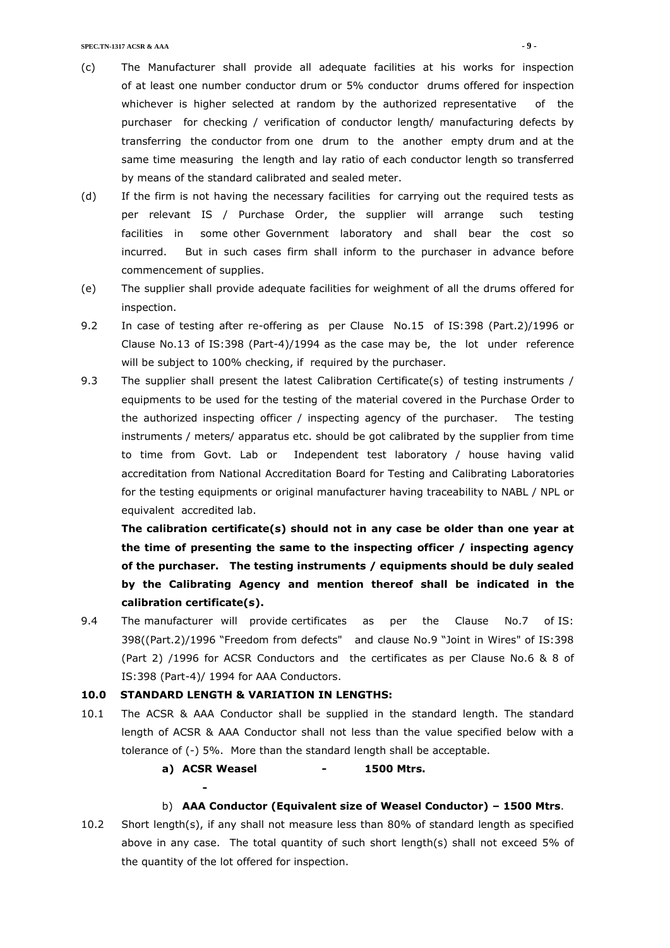- (c) The Manufacturer shall provide all adequate facilities at his works for inspection of at least one number conductor drum or 5% conductor drums offered for inspection whichever is higher selected at random by the authorized representative of the purchaser for checking / verification of conductor length/ manufacturing defects by transferring the conductor from one drum to the another empty drum and at the same time measuring the length and lay ratio of each conductor length so transferred by means of the standard calibrated and sealed meter.
- (d) If the firm is not having the necessary facilities for carrying out the required tests as per relevant IS / Purchase Order, the supplier will arrange such testing facilities in some other Government laboratory and shall bear the cost so incurred. But in such cases firm shall inform to the purchaser in advance before commencement of supplies.
- (e) The supplier shall provide adequate facilities for weighment of all the drums offered for inspection.
- 9.2 In case of testing after re-offering as per Clause No.15 of IS:398 (Part.2)/1996 or Clause No.13 of IS:398 (Part-4)/1994 as the case may be, the lot under reference will be subject to 100% checking, if required by the purchaser.
- 9.3 The supplier shall present the latest Calibration Certificate(s) of testing instruments / equipments to be used for the testing of the material covered in the Purchase Order to the authorized inspecting officer / inspecting agency of the purchaser. The testing instruments / meters/ apparatus etc. should be got calibrated by the supplier from time to time from Govt. Lab or Independent test laboratory / house having valid accreditation from National Accreditation Board for Testing and Calibrating Laboratories for the testing equipments or original manufacturer having traceability to NABL / NPL or equivalent accredited lab.

**The calibration certificate(s) should not in any case be older than one year at the time of presenting the same to the inspecting officer / inspecting agency of the purchaser. The testing instruments / equipments should be duly sealed by the Calibrating Agency and mention thereof shall be indicated in the calibration certificate(s).**

9.4 The manufacturer will provide certificates as per the Clause No.7 of IS: 398((Part.2)/1996 "Freedom from defects" and clause No.9 "Joint in Wires" of IS:398 (Part 2) /1996 for ACSR Conductors and the certificates as per Clause No.6 & 8 of IS:398 (Part-4)/ 1994 for AAA Conductors.

## **10.0 STANDARD LENGTH & VARIATION IN LENGTHS:**

**-**

- 10.1 The ACSR & AAA Conductor shall be supplied in the standard length. The standard length of ACSR & AAA Conductor shall not less than the value specified below with a tolerance of (-) 5%. More than the standard length shall be acceptable.
	- **a) ACSR Weasel - 1500 Mtrs.**

#### b) **AAA Conductor (Equivalent size of Weasel Conductor) – 1500 Mtrs**.

10.2 Short length(s), if any shall not measure less than 80% of standard length as specified above in any case. The total quantity of such short length(s) shall not exceed 5% of the quantity of the lot offered for inspection.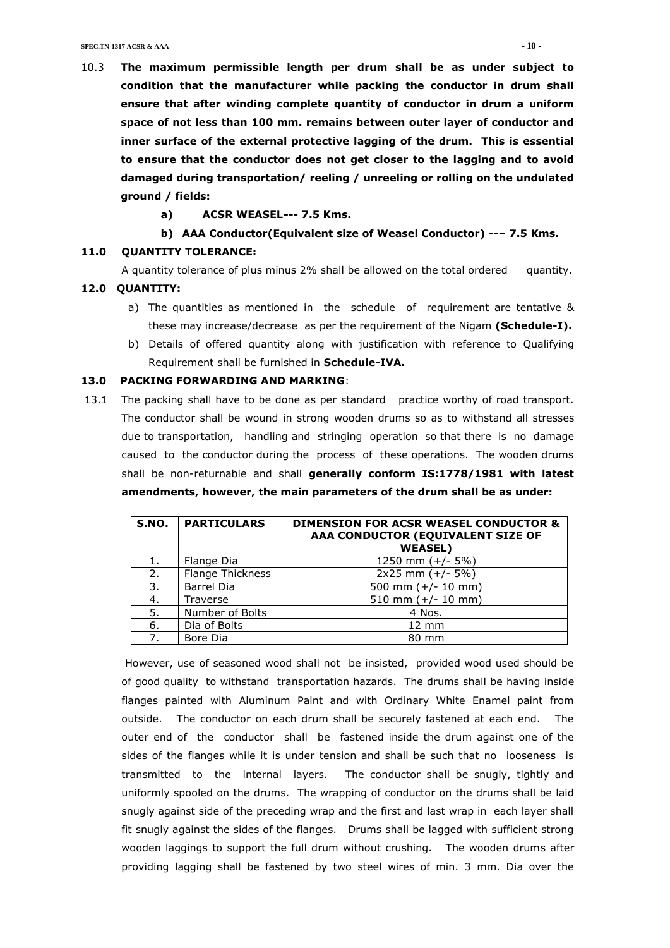- 10.3 **The maximum permissible length per drum shall be as under subject to condition that the manufacturer while packing the conductor in drum shall ensure that after winding complete quantity of conductor in drum a uniform space of not less than 100 mm. remains between outer layer of conductor and inner surface of the external protective lagging of the drum. This is essential to ensure that the conductor does not get closer to the lagging and to avoid damaged during transportation/ reeling / unreeling or rolling on the undulated ground / fields:**
	- **a) ACSR WEASEL--- 7.5 Kms.**

#### **b) AAA Conductor(Equivalent size of Weasel Conductor) --– 7.5 Kms.**

#### **11.0 QUANTITY TOLERANCE:**

A quantity tolerance of plus minus 2% shall be allowed on the total ordered quantity.

#### **12.0 QUANTITY:**

- a) The quantities as mentioned in the schedule of requirement are tentative & these may increase/decrease as per the requirement of the Nigam **(Schedule-I).**
- b) Details of offered quantity along with justification with reference to Qualifying Requirement shall be furnished in **Schedule-IVA.**

#### **13.0 PACKING FORWARDING AND MARKING**:

13.1 The packing shall have to be done as per standard practice worthy of road transport. The conductor shall be wound in strong wooden drums so as to withstand all stresses due to transportation, handling and stringing operation so that there is no damage caused to the conductor during the process of these operations. The wooden drums shall be non-returnable and shall **generally conform IS:1778/1981 with latest amendments, however, the main parameters of the drum shall be as under:**

| S.NO. | <b>PARTICULARS</b> | <b>DIMENSION FOR ACSR WEASEL CONDUCTOR &amp;</b><br>AAA CONDUCTOR (EQUIVALENT SIZE OF<br><b>WEASEL)</b> |
|-------|--------------------|---------------------------------------------------------------------------------------------------------|
| 1.    | Flange Dia         | 1250 mm $(+/- 5%)$                                                                                      |
| 2.    | Flange Thickness   | $2x25$ mm $(+/- 5%)$                                                                                    |
| 3.    | <b>Barrel Dia</b>  | 500 mm $(+/- 10$ mm)                                                                                    |
| 4.    | Traverse           | 510 mm $(+/- 10$ mm)                                                                                    |
| 5.    | Number of Bolts    | 4 Nos.                                                                                                  |
| 6.    | Dia of Bolts       | $12 \text{ mm}$                                                                                         |
| 7.    | Bore Dia           | 80 mm                                                                                                   |

However, use of seasoned wood shall not be insisted, provided wood used should be of good quality to withstand transportation hazards. The drums shall be having inside flanges painted with Aluminum Paint and with Ordinary White Enamel paint from outside. The conductor on each drum shall be securely fastened at each end. The outer end of the conductor shall be fastened inside the drum against one of the sides of the flanges while it is under tension and shall be such that no looseness is transmitted to the internal layers. The conductor shall be snugly, tightly and uniformly spooled on the drums. The wrapping of conductor on the drums shall be laid snugly against side of the preceding wrap and the first and last wrap in each layer shall fit snugly against the sides of the flanges. Drums shall be lagged with sufficient strong wooden laggings to support the full drum without crushing. The wooden drums after providing lagging shall be fastened by two steel wires of min. 3 mm. Dia over the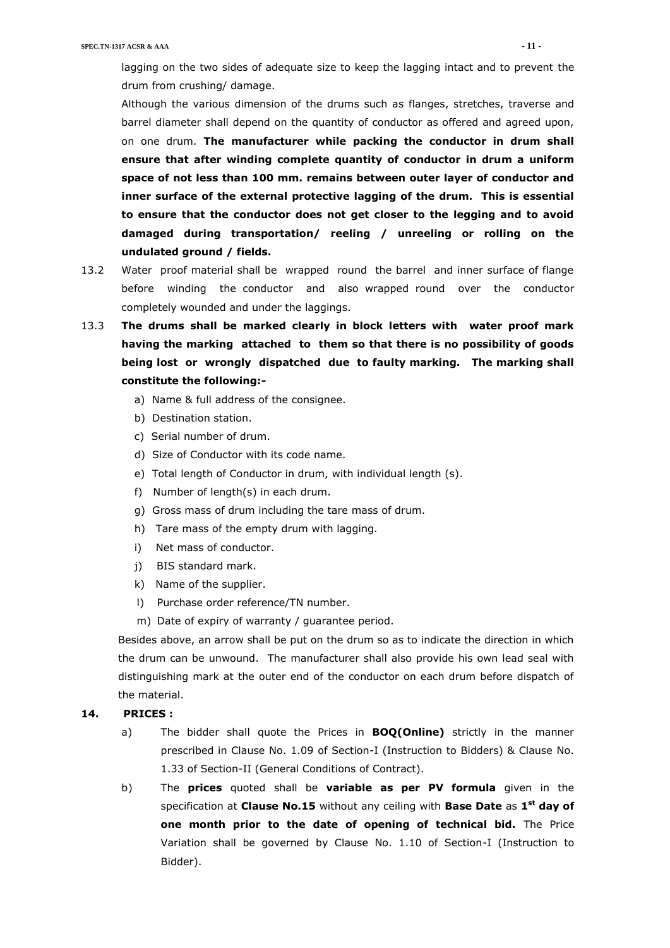lagging on the two sides of adequate size to keep the lagging intact and to prevent the drum from crushing/ damage.

Although the various dimension of the drums such as flanges, stretches, traverse and barrel diameter shall depend on the quantity of conductor as offered and agreed upon, on one drum. **The manufacturer while packing the conductor in drum shall ensure that after winding complete quantity of conductor in drum a uniform space of not less than 100 mm. remains between outer layer of conductor and inner surface of the external protective lagging of the drum. This is essential to ensure that the conductor does not get closer to the legging and to avoid damaged during transportation/ reeling / unreeling or rolling on the undulated ground / fields.**

- 13.2 Water proof material shall be wrapped round the barrel and inner surface of flange before winding the conductor and also wrapped round over the conductor completely wounded and under the laggings.
- 13.3 **The drums shall be marked clearly in block letters with water proof mark having the marking attached to them so that there is no possibility of goods being lost or wrongly dispatched due to faulty marking. The marking shall constitute the following:**
	- a) Name & full address of the consignee.
	- b) Destination station.
	- c) Serial number of drum.
	- d) Size of Conductor with its code name.
	- e) Total length of Conductor in drum, with individual length (s).
	- f) Number of length(s) in each drum.
	- g) Gross mass of drum including the tare mass of drum.
	- h) Tare mass of the empty drum with lagging.
	- i) Net mass of conductor.
	- j) BIS standard mark.
	- k) Name of the supplier.
	- l) Purchase order reference/TN number.
	- m) Date of expiry of warranty / guarantee period.

Besides above, an arrow shall be put on the drum so as to indicate the direction in which the drum can be unwound. The manufacturer shall also provide his own lead seal with distinguishing mark at the outer end of the conductor on each drum before dispatch of the material.

## **14. PRICES :**

- a) The bidder shall quote the Prices in **BOQ(Online)** strictly in the manner prescribed in Clause No. 1.09 of Section-I (Instruction to Bidders) & Clause No. 1.33 of Section-II (General Conditions of Contract).
- b) The **prices** quoted shall be **variable as per PV formula** given in the specification at **Clause No.15** without any ceiling with **Base Date** as **1 st day of one month prior to the date of opening of technical bid.** The Price Variation shall be governed by Clause No. 1.10 of Section-I (Instruction to Bidder).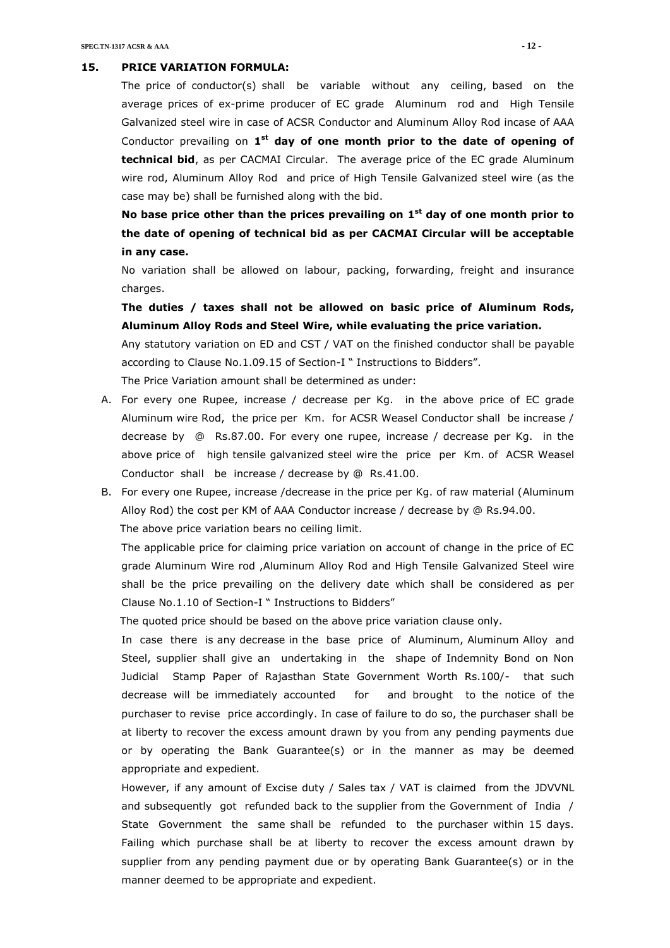#### **15. PRICE VARIATION FORMULA:**

The price of conductor(s) shall be variable without any ceiling, based on the average prices of ex-prime producer of EC grade Aluminum rod and High Tensile Galvanized steel wire in case of ACSR Conductor and Aluminum Alloy Rod incase of AAA Conductor prevailing on 1<sup>st</sup> day of one month prior to the date of opening of **technical bid**, as per CACMAI Circular. The average price of the EC grade Aluminum wire rod, Aluminum Alloy Rod and price of High Tensile Galvanized steel wire (as the case may be) shall be furnished along with the bid.

**No base price other than the prices prevailing on 1 st day of one month prior to the date of opening of technical bid as per CACMAI Circular will be acceptable in any case.**

No variation shall be allowed on labour, packing, forwarding, freight and insurance charges.

**The duties / taxes shall not be allowed on basic price of Aluminum Rods, Aluminum Alloy Rods and Steel Wire, while evaluating the price variation.**

Any statutory variation on ED and CST / VAT on the finished conductor shall be payable according to Clause No.1.09.15 of Section-I " Instructions to Bidders".

The Price Variation amount shall be determined as under:

- A. For every one Rupee, increase / decrease per Kg. in the above price of EC grade Aluminum wire Rod, the price per Km. for ACSR Weasel Conductor shall be increase / decrease by @ Rs.87.00. For every one rupee, increase / decrease per Kg. in the above price of high tensile galvanized steel wire the price per Km. of ACSR Weasel Conductor shall be increase / decrease by @ Rs.41.00.
- B. For every one Rupee, increase /decrease in the price per Kg. of raw material (Aluminum Alloy Rod) the cost per KM of AAA Conductor increase / decrease by @ Rs.94.00. The above price variation bears no ceiling limit.

The applicable price for claiming price variation on account of change in the price of EC grade Aluminum Wire rod ,Aluminum Alloy Rod and High Tensile Galvanized Steel wire shall be the price prevailing on the delivery date which shall be considered as per Clause No.1.10 of Section-I " Instructions to Bidders"

The quoted price should be based on the above price variation clause only.

In case there is any decrease in the base price of Aluminum, Aluminum Alloy and Steel, supplier shall give an undertaking in the shape of Indemnity Bond on Non Judicial Stamp Paper of Rajasthan State Government Worth Rs.100/- that such decrease will be immediately accounted for and brought to the notice of the purchaser to revise price accordingly. In case of failure to do so, the purchaser shall be at liberty to recover the excess amount drawn by you from any pending payments due or by operating the Bank Guarantee(s) or in the manner as may be deemed appropriate and expedient.

However, if any amount of Excise duty / Sales tax / VAT is claimed from the JDVVNL and subsequently got refunded back to the supplier from the Government of India / State Government the same shall be refunded to the purchaser within 15 days. Failing which purchase shall be at liberty to recover the excess amount drawn by supplier from any pending payment due or by operating Bank Guarantee(s) or in the manner deemed to be appropriate and expedient.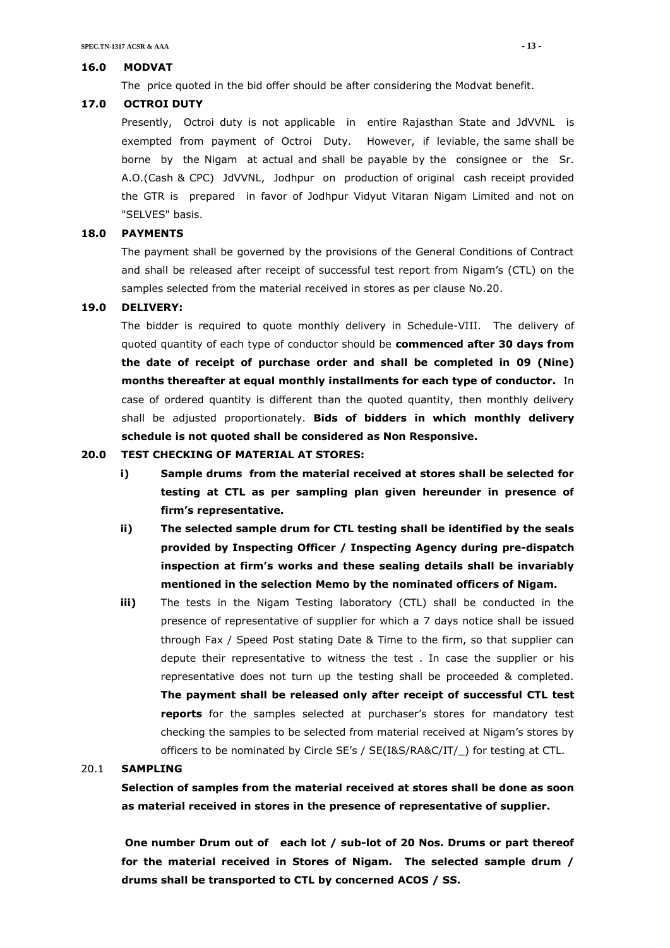#### **16.0 MODVAT**

The price quoted in the bid offer should be after considering the Modvat benefit.

#### **17.0 OCTROI DUTY**

Presently, Octroi duty is not applicable in entire Rajasthan State and JdVVNL is exempted from payment of Octroi Duty. However, if leviable, the same shall be borne by the Nigam at actual and shall be payable by the consignee or the Sr. A.O.(Cash & CPC) JdVVNL, Jodhpur on production of original cash receipt provided the GTR is prepared in favor of Jodhpur Vidyut Vitaran Nigam Limited and not on "SELVES" basis.

#### **18.0 PAYMENTS**

The payment shall be governed by the provisions of the General Conditions of Contract and shall be released after receipt of successful test report from Nigam's (CTL) on the samples selected from the material received in stores as per clause No.20.

#### **19.0 DELIVERY:**

The bidder is required to quote monthly delivery in Schedule-VIII. The delivery of quoted quantity of each type of conductor should be **commenced after 30 days from the date of receipt of purchase order and shall be completed in 09 (Nine) months thereafter at equal monthly installments for each type of conductor.** In case of ordered quantity is different than the quoted quantity, then monthly delivery shall be adjusted proportionately. **Bids of bidders in which monthly delivery schedule is not quoted shall be considered as Non Responsive.**

#### **20.0 TEST CHECKING OF MATERIAL AT STORES:**

- **i) Sample drums from the material received at stores shall be selected for testing at CTL as per sampling plan given hereunder in presence of firm's representative.**
- **ii) The selected sample drum for CTL testing shall be identified by the seals provided by Inspecting Officer / Inspecting Agency during pre-dispatch inspection at firm's works and these sealing details shall be invariably mentioned in the selection Memo by the nominated officers of Nigam.**
- **iii)** The tests in the Nigam Testing laboratory (CTL) shall be conducted in the presence of representative of supplier for which a 7 days notice shall be issued through Fax / Speed Post stating Date & Time to the firm, so that supplier can depute their representative to witness the test . In case the supplier or his representative does not turn up the testing shall be proceeded & completed. **The payment shall be released only after receipt of successful CTL test reports** for the samples selected at purchaser's stores for mandatory test checking the samples to be selected from material received at Nigam's stores by officers to be nominated by Circle SE's / SE(I&S/RA&C/IT/\_) for testing at CTL.

### 20.1 **SAMPLING**

**Selection of samples from the material received at stores shall be done as soon as material received in stores in the presence of representative of supplier.**

**One number Drum out of each lot / sub-lot of 20 Nos. Drums or part thereof for the material received in Stores of Nigam. The selected sample drum / drums shall be transported to CTL by concerned ACOS / SS.**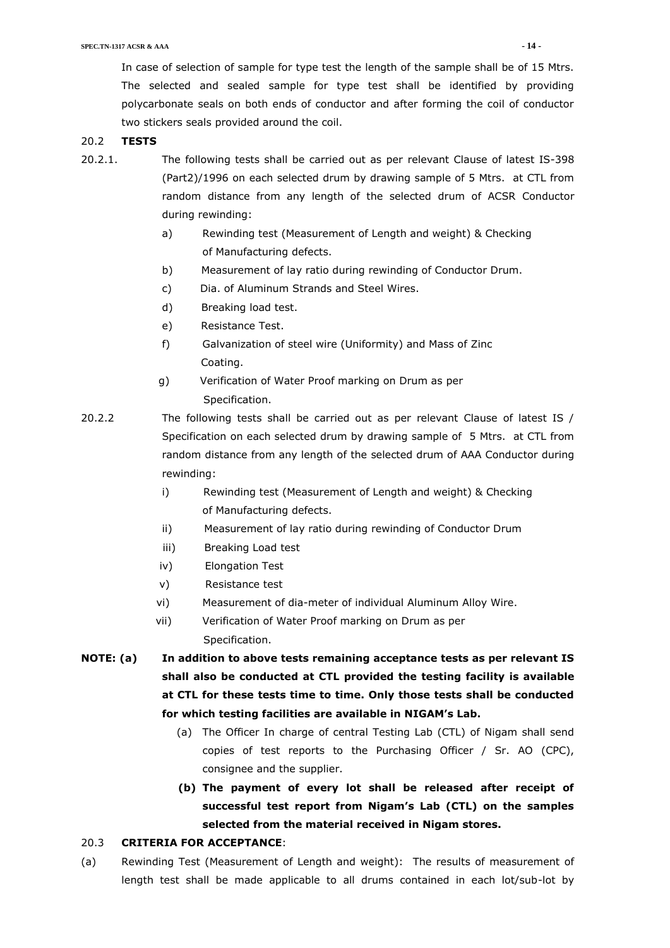In case of selection of sample for type test the length of the sample shall be of 15 Mtrs. The selected and sealed sample for type test shall be identified by providing polycarbonate seals on both ends of conductor and after forming the coil of conductor two stickers seals provided around the coil.

## 20.2 **TESTS**

- 20.2.1. The following tests shall be carried out as per relevant Clause of latest IS-398 (Part2)/1996 on each selected drum by drawing sample of 5 Mtrs. at CTL from random distance from any length of the selected drum of ACSR Conductor during rewinding:
	- a) Rewinding test (Measurement of Length and weight) & Checking of Manufacturing defects.
	- b) Measurement of lay ratio during rewinding of Conductor Drum.
	- c) Dia. of Aluminum Strands and Steel Wires.
	- d) Breaking load test.
	- e) Resistance Test.
	- f) Galvanization of steel wire (Uniformity) and Mass of Zinc Coating.
	- g) Verification of Water Proof marking on Drum as per Specification.
- 20.2.2 The following tests shall be carried out as per relevant Clause of latest IS / Specification on each selected drum by drawing sample of 5 Mtrs. at CTL from random distance from any length of the selected drum of AAA Conductor during rewinding:
	- i) Rewinding test (Measurement of Length and weight) & Checking of Manufacturing defects.
	- ii) Measurement of lay ratio during rewinding of Conductor Drum
	- iii) Breaking Load test
	- iv) Elongation Test
	- v) Resistance test
	- vi) Measurement of dia-meter of individual Aluminum Alloy Wire.
	- vii) Verification of Water Proof marking on Drum as per Specification.
- **NOTE: (a) In addition to above tests remaining acceptance tests as per relevant IS shall also be conducted at CTL provided the testing facility is available at CTL for these tests time to time. Only those tests shall be conducted for which testing facilities are available in NIGAM's Lab.**
	- (a) The Officer In charge of central Testing Lab (CTL) of Nigam shall send copies of test reports to the Purchasing Officer / Sr. AO (CPC), consignee and the supplier.
	- **(b) The payment of every lot shall be released after receipt of successful test report from Nigam's Lab (CTL) on the samples selected from the material received in Nigam stores.**

#### 20.3 **CRITERIA FOR ACCEPTANCE**:

(a) Rewinding Test (Measurement of Length and weight): The results of measurement of length test shall be made applicable to all drums contained in each lot/sub-lot by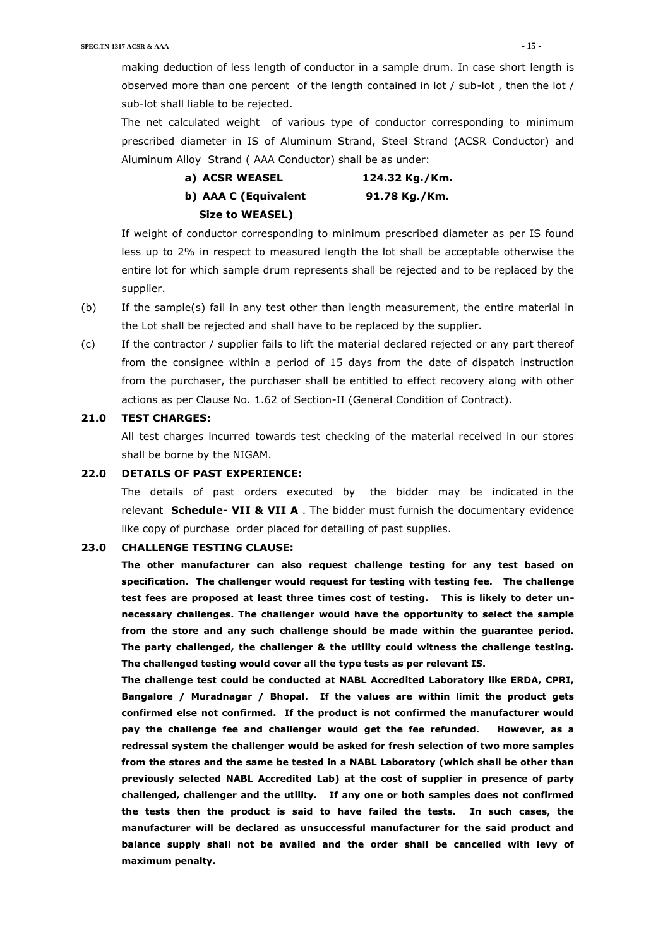making deduction of less length of conductor in a sample drum. In case short length is observed more than one percent of the length contained in lot / sub-lot , then the lot / sub-lot shall liable to be rejected.

The net calculated weight of various type of conductor corresponding to minimum prescribed diameter in IS of Aluminum Strand, Steel Strand (ACSR Conductor) and Aluminum Alloy Strand ( AAA Conductor) shall be as under:

| a) ACSR WEASEL         | 124.32 Kg./Km. |
|------------------------|----------------|
| b) AAA C (Equivalent   | 91.78 Kg./Km.  |
| <b>Size to WEASEL)</b> |                |

If weight of conductor corresponding to minimum prescribed diameter as per IS found less up to 2% in respect to measured length the lot shall be acceptable otherwise the entire lot for which sample drum represents shall be rejected and to be replaced by the supplier.

- (b) If the sample(s) fail in any test other than length measurement, the entire material in the Lot shall be rejected and shall have to be replaced by the supplier.
- (c) If the contractor / supplier fails to lift the material declared rejected or any part thereof from the consignee within a period of 15 days from the date of dispatch instruction from the purchaser, the purchaser shall be entitled to effect recovery along with other actions as per Clause No. 1.62 of Section-II (General Condition of Contract).

#### **21.0 TEST CHARGES:**

All test charges incurred towards test checking of the material received in our stores shall be borne by the NIGAM.

#### **22.0 DETAILS OF PAST EXPERIENCE:**

The details of past orders executed by the bidder may be indicated in the relevant **Schedule- VII & VII A** . The bidder must furnish the documentary evidence like copy of purchase order placed for detailing of past supplies.

#### **23.0 CHALLENGE TESTING CLAUSE:**

**The other manufacturer can also request challenge testing for any test based on specification. The challenger would request for testing with testing fee. The challenge test fees are proposed at least three times cost of testing. This is likely to deter unnecessary challenges. The challenger would have the opportunity to select the sample from the store and any such challenge should be made within the guarantee period. The party challenged, the challenger & the utility could witness the challenge testing. The challenged testing would cover all the type tests as per relevant IS.**

**The challenge test could be conducted at NABL Accredited Laboratory like ERDA, CPRI, Bangalore / Muradnagar / Bhopal. If the values are within limit the product gets confirmed else not confirmed. If the product is not confirmed the manufacturer would pay the challenge fee and challenger would get the fee refunded. However, as a redressal system the challenger would be asked for fresh selection of two more samples from the stores and the same be tested in a NABL Laboratory (which shall be other than previously selected NABL Accredited Lab) at the cost of supplier in presence of party challenged, challenger and the utility. If any one or both samples does not confirmed the tests then the product is said to have failed the tests. In such cases, the manufacturer will be declared as unsuccessful manufacturer for the said product and balance supply shall not be availed and the order shall be cancelled with levy of maximum penalty.**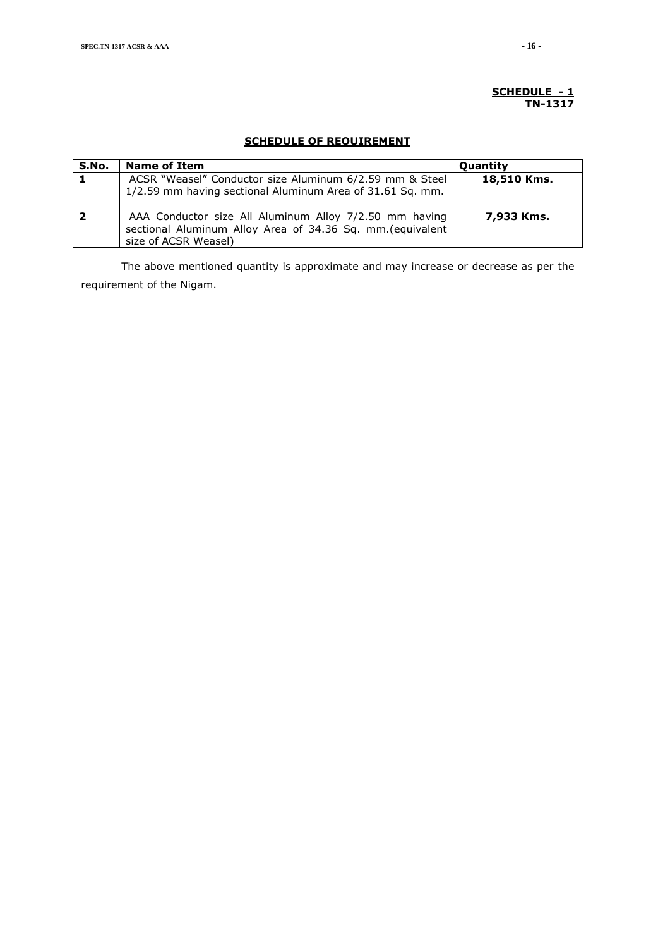#### **SCHEDULE - 1 TN-1317**

## **SCHEDULE OF REQUIREMENT**

| S.No. | <b>Name of Item</b>                                        | <b>Quantity</b> |
|-------|------------------------------------------------------------|-----------------|
| 1     | ACSR "Weasel" Conductor size Aluminum 6/2.59 mm & Steel    | 18,510 Kms.     |
|       | 1/2.59 mm having sectional Aluminum Area of 31.61 Sq. mm.  |                 |
|       |                                                            |                 |
|       | AAA Conductor size All Aluminum Alloy 7/2.50 mm having     | 7,933 Kms.      |
|       | sectional Aluminum Alloy Area of 34.36 Sq. mm. (equivalent |                 |
|       | size of ACSR Weasel)                                       |                 |

The above mentioned quantity is approximate and may increase or decrease as per the requirement of the Nigam.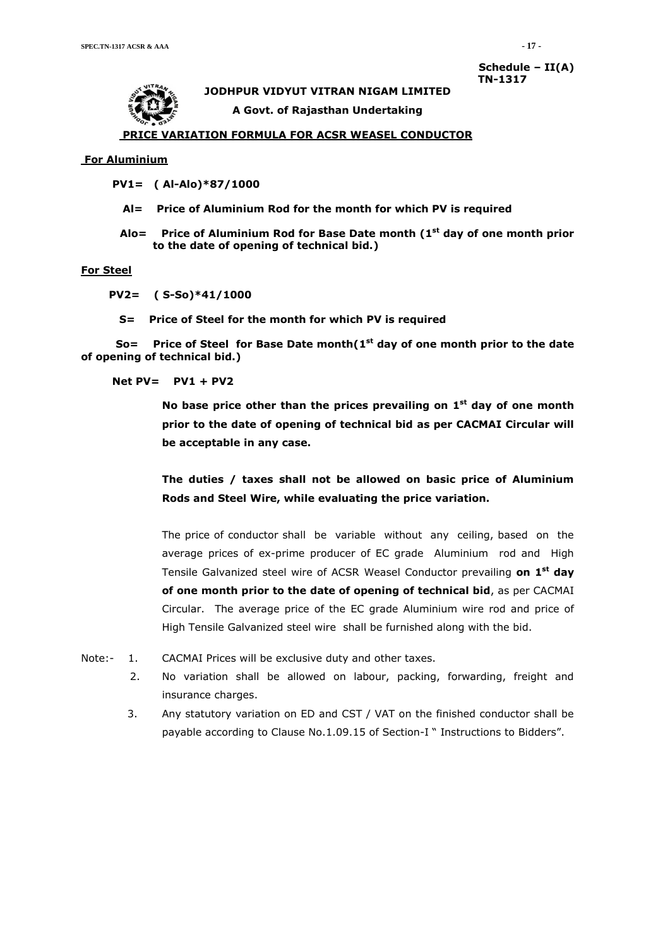# **JODHPUR VIDYUT VITRAN NIGAM LIMITED**

**Schedule – II(A) TN-1317**

**A Govt. of Rajasthan Undertaking**

#### **PRICE VARIATION FORMULA FOR ACSR WEASEL CONDUCTOR**

#### **For Aluminium**

 **PV1= ( Al-Alo)\*87/1000**

- **Al= Price of Aluminium Rod for the month for which PV is required**
- **Alo= Price of Aluminium Rod for Base Date month (1 st day of one month prior to the date of opening of technical bid.)**

#### **For Steel**

 **PV2= ( S-So)\*41/1000**

 **S= Price of Steel for the month for which PV is required**

 **So= Price of Steel for Base Date month(1 st day of one month prior to the date of opening of technical bid.)**

 **Net PV= PV1 + PV2**

**No base price other than the prices prevailing on 1 st day of one month prior to the date of opening of technical bid as per CACMAI Circular will be acceptable in any case.**

**The duties / taxes shall not be allowed on basic price of Aluminium Rods and Steel Wire, while evaluating the price variation.**

The price of conductor shall be variable without any ceiling, based on the average prices of ex-prime producer of EC grade Aluminium rod and High Tensile Galvanized steel wire of ACSR Weasel Conductor prevailing **on 1 st day of one month prior to the date of opening of technical bid**, as per CACMAI Circular. The average price of the EC grade Aluminium wire rod and price of High Tensile Galvanized steel wire shall be furnished along with the bid.

- Note:- 1. CACMAI Prices will be exclusive duty and other taxes.
	- 2. No variation shall be allowed on labour, packing, forwarding, freight and insurance charges.
	- 3. Any statutory variation on ED and CST / VAT on the finished conductor shall be payable according to Clause No.1.09.15 of Section-I " Instructions to Bidders".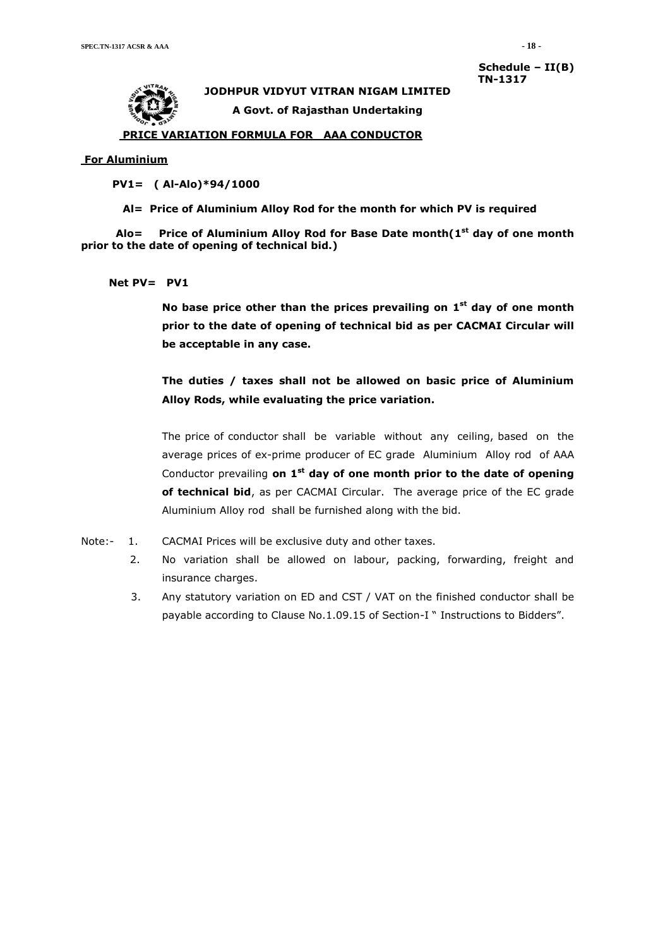**Schedule – II(B) TN-1317**



**JODHPUR VIDYUT VITRAN NIGAM LIMITED A Govt. of Rajasthan Undertaking**

#### **PRICE VARIATION FORMULA FOR AAA CONDUCTOR**

#### **For Aluminium**

 **PV1= ( Al-Alo)\*94/1000**

 **Al= Price of Aluminium Alloy Rod for the month for which PV is required**

 **Alo= Price of Aluminium Alloy Rod for Base Date month(1 st day of one month prior to the date of opening of technical bid.)**

#### **Net PV= PV1**

**No base price other than the prices prevailing on 1 st day of one month prior to the date of opening of technical bid as per CACMAI Circular will be acceptable in any case.**

**The duties / taxes shall not be allowed on basic price of Aluminium Alloy Rods, while evaluating the price variation.**

The price of conductor shall be variable without any ceiling, based on the average prices of ex-prime producer of EC grade Aluminium Alloy rod of AAA Conductor prevailing on 1<sup>st</sup> day of one month prior to the date of opening **of technical bid**, as per CACMAI Circular. The average price of the EC grade Aluminium Alloy rod shall be furnished along with the bid.

- Note:- 1. CACMAI Prices will be exclusive duty and other taxes.
	- 2. No variation shall be allowed on labour, packing, forwarding, freight and insurance charges.
	- 3. Any statutory variation on ED and CST / VAT on the finished conductor shall be payable according to Clause No.1.09.15 of Section-I " Instructions to Bidders".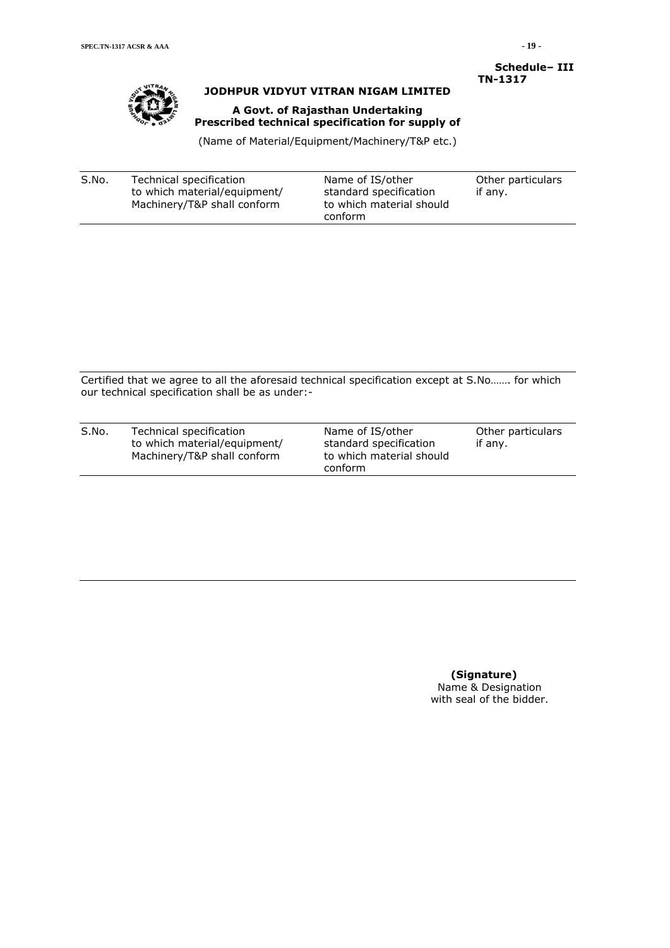

## **JODHPUR VIDYUT VITRAN NIGAM LIMITED**

## **A Govt. of Rajasthan Undertaking Prescribed technical specification for supply of**

 **Schedule– III TN-1317**

(Name of Material/Equipment/Machinery/T&P etc.)

| S.No. | Technical specification      | Name of IS/other         | Other particulars |
|-------|------------------------------|--------------------------|-------------------|
|       | to which material/equipment/ | standard specification   | if any.           |
|       | Machinery/T&P shall conform  | to which material should |                   |
|       |                              | conform                  |                   |

Certified that we agree to all the aforesaid technical specification except at S.No……. for which our technical specification shall be as under:-

| S.No. | Technical specification<br>to which material/equipment/<br>Machinery/T&P shall conform | Name of IS/other<br>standard specification<br>to which material should<br>conform | Other particulars<br>if any. |
|-------|----------------------------------------------------------------------------------------|-----------------------------------------------------------------------------------|------------------------------|
|       |                                                                                        |                                                                                   |                              |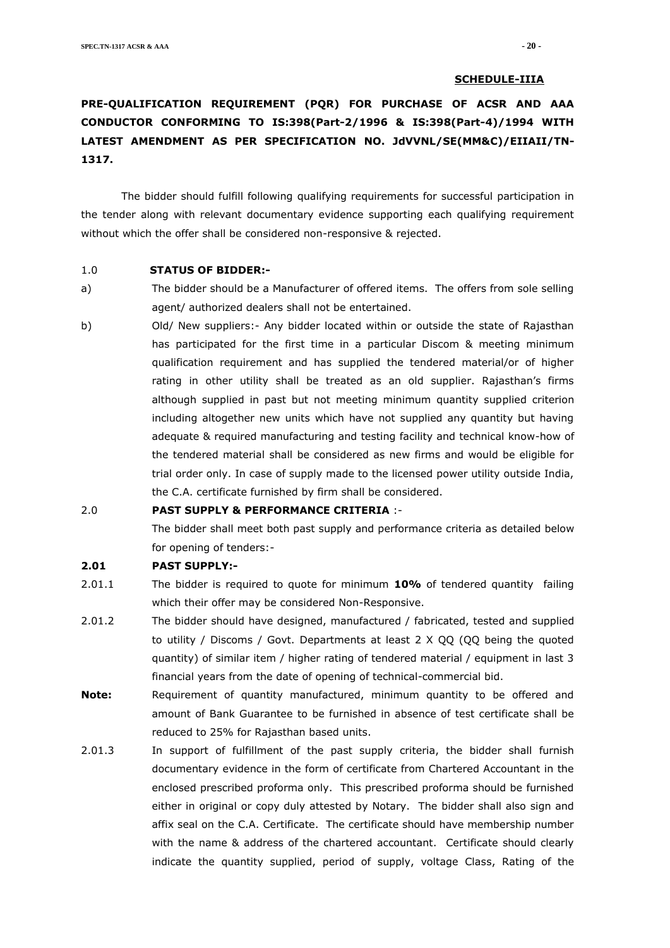#### **SCHEDULE-IIIA**

# **PRE-QUALIFICATION REQUIREMENT (PQR) FOR PURCHASE OF ACSR AND AAA CONDUCTOR CONFORMING TO IS:398(Part-2/1996 & IS:398(Part-4)/1994 WITH LATEST AMENDMENT AS PER SPECIFICATION NO. JdVVNL/SE(MM&C)/EIIAII/TN-1317.**

The bidder should fulfill following qualifying requirements for successful participation in the tender along with relevant documentary evidence supporting each qualifying requirement without which the offer shall be considered non-responsive & rejected.

#### 1.0 **STATUS OF BIDDER:-**

- a) The bidder should be a Manufacturer of offered items. The offers from sole selling agent/ authorized dealers shall not be entertained.
- b) Old/ New suppliers:- Any bidder located within or outside the state of Rajasthan has participated for the first time in a particular Discom & meeting minimum qualification requirement and has supplied the tendered material/or of higher rating in other utility shall be treated as an old supplier. Rajasthan's firms although supplied in past but not meeting minimum quantity supplied criterion including altogether new units which have not supplied any quantity but having adequate & required manufacturing and testing facility and technical know-how of the tendered material shall be considered as new firms and would be eligible for trial order only. In case of supply made to the licensed power utility outside India, the C.A. certificate furnished by firm shall be considered.

## 2.0 **PAST SUPPLY & PERFORMANCE CRITERIA** :-

The bidder shall meet both past supply and performance criteria as detailed below for opening of tenders:-

#### **2.01 PAST SUPPLY:-**

- 2.01.1 The bidder is required to quote for minimum **10%** of tendered quantity failing which their offer may be considered Non-Responsive.
- 2.01.2 The bidder should have designed, manufactured / fabricated, tested and supplied to utility / Discoms / Govt. Departments at least 2 X QQ (QQ being the quoted quantity) of similar item / higher rating of tendered material / equipment in last 3 financial years from the date of opening of technical-commercial bid.
- **Note:** Requirement of quantity manufactured, minimum quantity to be offered and amount of Bank Guarantee to be furnished in absence of test certificate shall be reduced to 25% for Rajasthan based units.
- 2.01.3 In support of fulfillment of the past supply criteria, the bidder shall furnish documentary evidence in the form of certificate from Chartered Accountant in the enclosed prescribed proforma only. This prescribed proforma should be furnished either in original or copy duly attested by Notary. The bidder shall also sign and affix seal on the C.A. Certificate. The certificate should have membership number with the name & address of the chartered accountant. Certificate should clearly indicate the quantity supplied, period of supply, voltage Class, Rating of the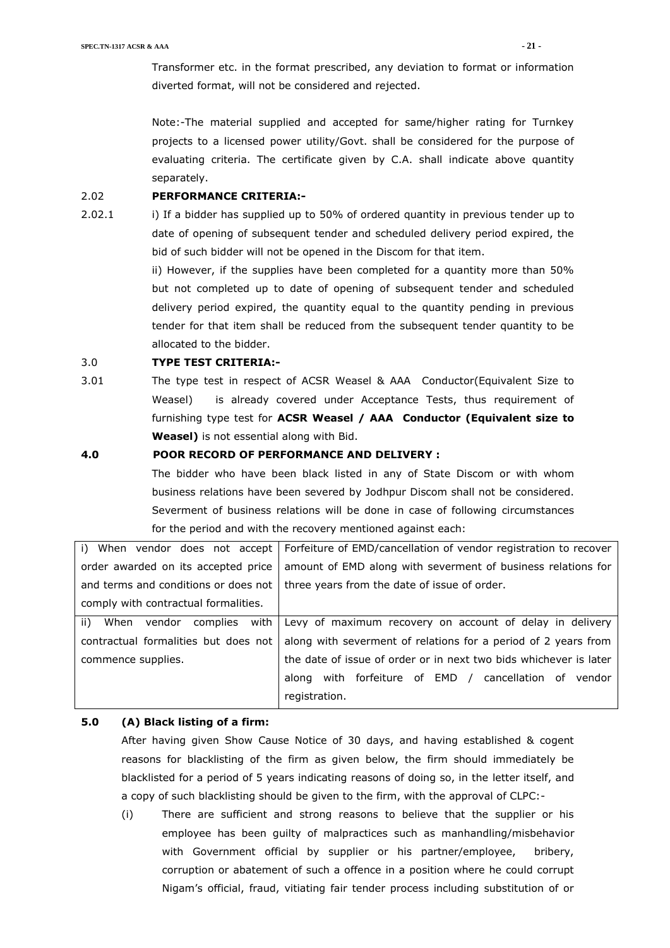Transformer etc. in the format prescribed, any deviation to format or information diverted format, will not be considered and rejected.

Note:-The material supplied and accepted for same/higher rating for Turnkey projects to a licensed power utility/Govt. shall be considered for the purpose of evaluating criteria. The certificate given by C.A. shall indicate above quantity separately.

#### 2.02 **PERFORMANCE CRITERIA:-**

2.02.1 i) If a bidder has supplied up to 50% of ordered quantity in previous tender up to date of opening of subsequent tender and scheduled delivery period expired, the bid of such bidder will not be opened in the Discom for that item.

> ii) However, if the supplies have been completed for a quantity more than 50% but not completed up to date of opening of subsequent tender and scheduled delivery period expired, the quantity equal to the quantity pending in previous tender for that item shall be reduced from the subsequent tender quantity to be allocated to the bidder.

### 3.0 **TYPE TEST CRITERIA:-**

3.01 The type test in respect of ACSR Weasel & AAA Conductor(Equivalent Size to Weasel) is already covered under Acceptance Tests, thus requirement of furnishing type test for **ACSR Weasel / AAA Conductor (Equivalent size to Weasel)** is not essential along with Bid.

#### **4.0 POOR RECORD OF PERFORMANCE AND DELIVERY :**

The bidder who have been black listed in any of State Discom or with whom business relations have been severed by Jodhpur Discom shall not be considered. Severment of business relations will be done in case of following circumstances for the period and with the recovery mentioned against each:

|                                      | i) When vendor does not accept   Forfeiture of EMD/cancellation of vendor registration to recover |
|--------------------------------------|---------------------------------------------------------------------------------------------------|
| order awarded on its accepted price  | amount of EMD along with severment of business relations for                                      |
| and terms and conditions or does not | three years from the date of issue of order.                                                      |
| comply with contractual formalities. |                                                                                                   |
| ii)<br>When vendor complies with     | Levy of maximum recovery on account of delay in delivery                                          |
| contractual formalities but does not | along with severment of relations for a period of 2 years from                                    |
| commence supplies.                   | the date of issue of order or in next two bids whichever is later                                 |
|                                      | with forfeiture of EMD / cancellation of vendor<br>along                                          |
|                                      | registration.                                                                                     |

## **5.0 (A) Black listing of a firm:**

After having given Show Cause Notice of 30 days, and having established & cogent reasons for blacklisting of the firm as given below, the firm should immediately be blacklisted for a period of 5 years indicating reasons of doing so, in the letter itself, and a copy of such blacklisting should be given to the firm, with the approval of CLPC:-

(i) There are sufficient and strong reasons to believe that the supplier or his employee has been guilty of malpractices such as manhandling/misbehavior with Government official by supplier or his partner/employee, bribery, corruption or abatement of such a offence in a position where he could corrupt Nigam's official, fraud, vitiating fair tender process including substitution of or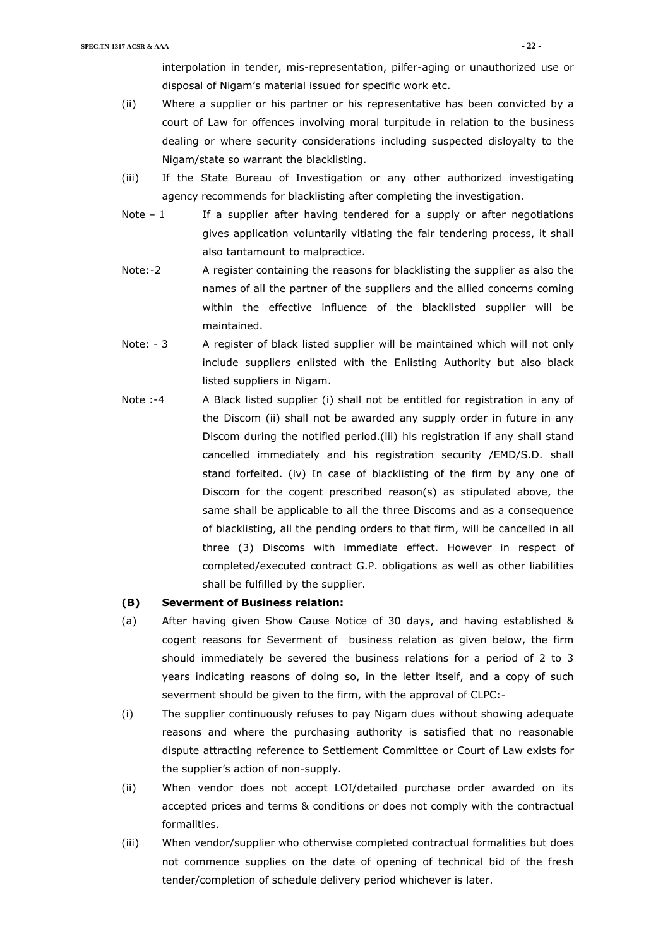interpolation in tender, mis-representation, pilfer-aging or unauthorized use or disposal of Nigam's material issued for specific work etc.

- (ii) Where a supplier or his partner or his representative has been convicted by a court of Law for offences involving moral turpitude in relation to the business dealing or where security considerations including suspected disloyalty to the Nigam/state so warrant the blacklisting.
- (iii) If the State Bureau of Investigation or any other authorized investigating agency recommends for blacklisting after completing the investigation.
- Note  $-1$  If a supplier after having tendered for a supply or after negotiations gives application voluntarily vitiating the fair tendering process, it shall also tantamount to malpractice.
- Note:-2 A register containing the reasons for blacklisting the supplier as also the names of all the partner of the suppliers and the allied concerns coming within the effective influence of the blacklisted supplier will be maintained.
- Note: 3 A register of black listed supplier will be maintained which will not only include suppliers enlisted with the Enlisting Authority but also black listed suppliers in Nigam.
- Note :-4 A Black listed supplier (i) shall not be entitled for registration in any of the Discom (ii) shall not be awarded any supply order in future in any Discom during the notified period.(iii) his registration if any shall stand cancelled immediately and his registration security /EMD/S.D. shall stand forfeited. (iv) In case of blacklisting of the firm by any one of Discom for the cogent prescribed reason(s) as stipulated above, the same shall be applicable to all the three Discoms and as a consequence of blacklisting, all the pending orders to that firm, will be cancelled in all three (3) Discoms with immediate effect. However in respect of completed/executed contract G.P. obligations as well as other liabilities shall be fulfilled by the supplier.

#### **(B) Severment of Business relation:**

- (a) After having given Show Cause Notice of 30 days, and having established & cogent reasons for Severment of business relation as given below, the firm should immediately be severed the business relations for a period of 2 to 3 years indicating reasons of doing so, in the letter itself, and a copy of such severment should be given to the firm, with the approval of CLPC:-
- (i) The supplier continuously refuses to pay Nigam dues without showing adequate reasons and where the purchasing authority is satisfied that no reasonable dispute attracting reference to Settlement Committee or Court of Law exists for the supplier's action of non-supply.
- (ii) When vendor does not accept LOI/detailed purchase order awarded on its accepted prices and terms & conditions or does not comply with the contractual formalities.
- (iii) When vendor/supplier who otherwise completed contractual formalities but does not commence supplies on the date of opening of technical bid of the fresh tender/completion of schedule delivery period whichever is later.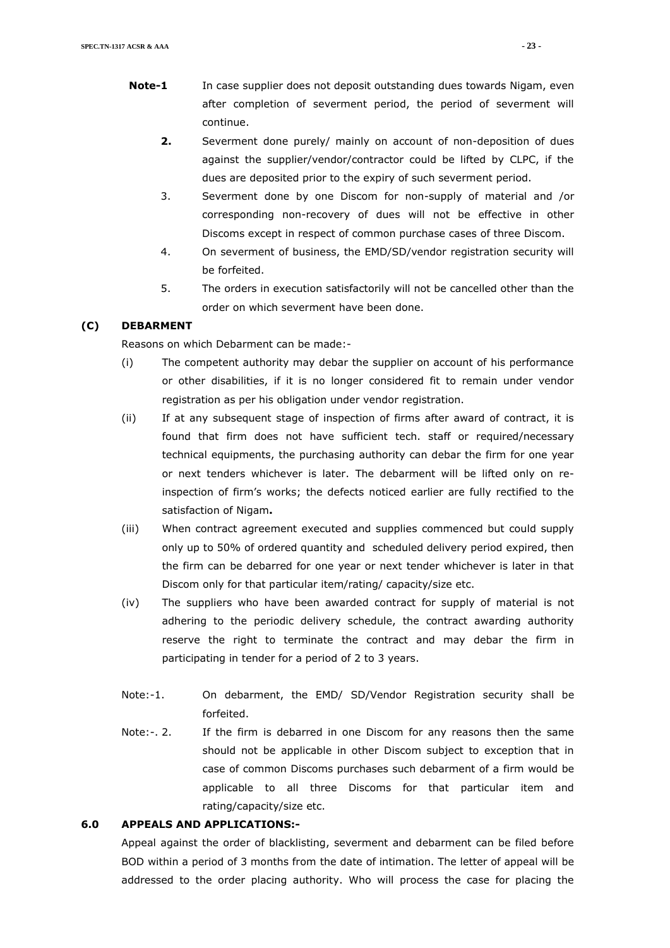- **Note-1** In case supplier does not deposit outstanding dues towards Nigam, even after completion of severment period, the period of severment will continue.
	- **2.** Severment done purely/ mainly on account of non-deposition of dues against the supplier/vendor/contractor could be lifted by CLPC, if the dues are deposited prior to the expiry of such severment period.
	- 3. Severment done by one Discom for non-supply of material and /or corresponding non-recovery of dues will not be effective in other Discoms except in respect of common purchase cases of three Discom.
	- 4. On severment of business, the EMD/SD/vendor registration security will be forfeited.
	- 5. The orders in execution satisfactorily will not be cancelled other than the order on which severment have been done.

## **(C) DEBARMENT**

Reasons on which Debarment can be made:-

- (i) The competent authority may debar the supplier on account of his performance or other disabilities, if it is no longer considered fit to remain under vendor registration as per his obligation under vendor registration.
- (ii) If at any subsequent stage of inspection of firms after award of contract, it is found that firm does not have sufficient tech. staff or required/necessary technical equipments, the purchasing authority can debar the firm for one year or next tenders whichever is later. The debarment will be lifted only on reinspection of firm's works; the defects noticed earlier are fully rectified to the satisfaction of Nigam**.**
- (iii) When contract agreement executed and supplies commenced but could supply only up to 50% of ordered quantity and scheduled delivery period expired, then the firm can be debarred for one year or next tender whichever is later in that Discom only for that particular item/rating/ capacity/size etc.
- (iv) The suppliers who have been awarded contract for supply of material is not adhering to the periodic delivery schedule, the contract awarding authority reserve the right to terminate the contract and may debar the firm in participating in tender for a period of 2 to 3 years.
- Note:-1. On debarment, the EMD/ SD/Vendor Registration security shall be forfeited.
- Note:-. 2. If the firm is debarred in one Discom for any reasons then the same should not be applicable in other Discom subject to exception that in case of common Discoms purchases such debarment of a firm would be applicable to all three Discoms for that particular item and rating/capacity/size etc.

#### **6.0 APPEALS AND APPLICATIONS:-**

Appeal against the order of blacklisting, severment and debarment can be filed before BOD within a period of 3 months from the date of intimation. The letter of appeal will be addressed to the order placing authority. Who will process the case for placing the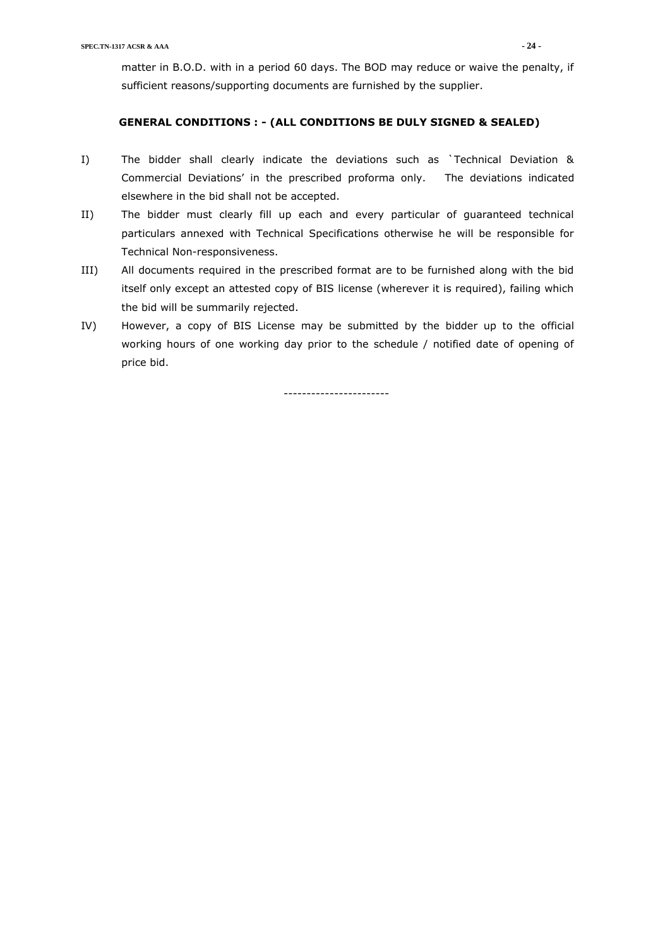matter in B.O.D. with in a period 60 days. The BOD may reduce or waive the penalty, if sufficient reasons/supporting documents are furnished by the supplier.

### **GENERAL CONDITIONS : - (ALL CONDITIONS BE DULY SIGNED & SEALED)**

- I) The bidder shall clearly indicate the deviations such as `Technical Deviation & Commercial Deviations' in the prescribed proforma only. The deviations indicated elsewhere in the bid shall not be accepted.
- II) The bidder must clearly fill up each and every particular of guaranteed technical particulars annexed with Technical Specifications otherwise he will be responsible for Technical Non-responsiveness.
- III) All documents required in the prescribed format are to be furnished along with the bid itself only except an attested copy of BIS license (wherever it is required), failing which the bid will be summarily rejected.
- IV) However, a copy of BIS License may be submitted by the bidder up to the official working hours of one working day prior to the schedule / notified date of opening of price bid.

-----------------------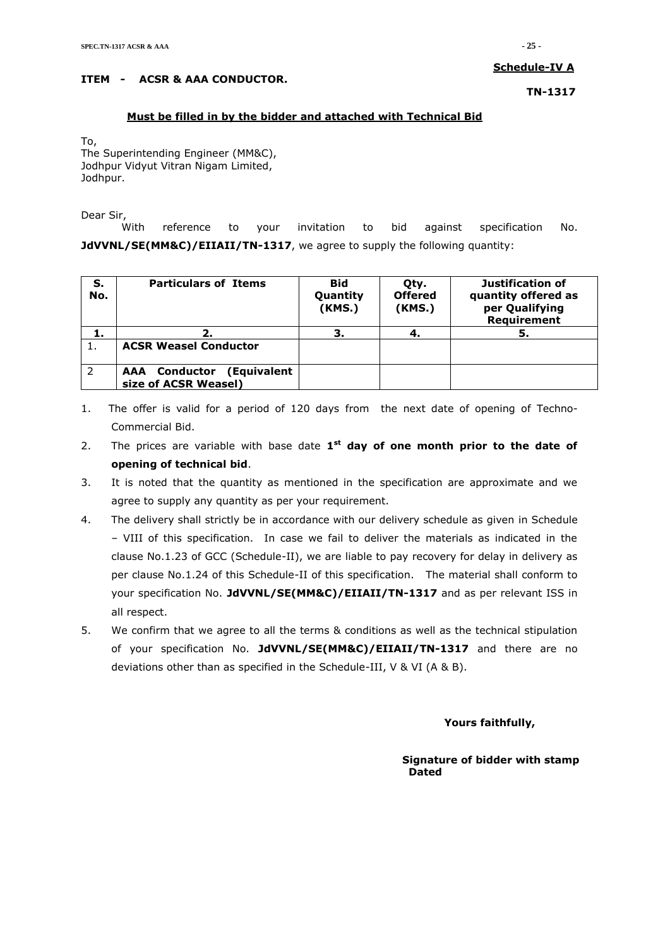## **Schedule-IV A**

## **ITEM - ACSR & AAA CONDUCTOR.**

**TN-1317**

## **Must be filled in by the bidder and attached with Technical Bid**

To, The Superintending Engineer (MM&C), Jodhpur Vidyut Vitran Nigam Limited, Jodhpur.

Dear Sir,

With reference to your invitation to bid against specification No. **JdVVNL/SE(MM&C)/EIIAII/TN-1317**, we agree to supply the following quantity:

| S.<br>No. | <b>Particulars of Items</b>                                 | <b>Bid</b><br>Quantity<br>(KMS.) | Qty.<br><b>Offered</b><br>(KMS.) | Justification of<br>quantity offered as<br>per Qualifying<br>Requirement |
|-----------|-------------------------------------------------------------|----------------------------------|----------------------------------|--------------------------------------------------------------------------|
| 1.        | 2.                                                          |                                  | 4.                               | 5.                                                                       |
|           | <b>ACSR Weasel Conductor</b>                                |                                  |                                  |                                                                          |
| 2         | <b>AAA</b> Conductor<br>(Equivalent<br>size of ACSR Weasel) |                                  |                                  |                                                                          |

- 1. The offer is valid for a period of 120 days from the next date of opening of Techno-Commercial Bid.
- 2. The prices are variable with base date 1<sup>st</sup> day of one month prior to the date of **opening of technical bid**.
- 3. It is noted that the quantity as mentioned in the specification are approximate and we agree to supply any quantity as per your requirement.
- 4. The delivery shall strictly be in accordance with our delivery schedule as given in Schedule – VIII of this specification. In case we fail to deliver the materials as indicated in the clause No.1.23 of GCC (Schedule-II), we are liable to pay recovery for delay in delivery as per clause No.1.24 of this Schedule-II of this specification. The material shall conform to your specification No. **JdVVNL/SE(MM&C)/EIIAII/TN-1317** and as per relevant ISS in all respect.
- 5. We confirm that we agree to all the terms & conditions as well as the technical stipulation of your specification No. **JdVVNL/SE(MM&C)/EIIAII/TN-1317** and there are no deviations other than as specified in the Schedule-III, V & VI (A & B).

## **Yours faithfully,**

#### **Signature of bidder with stamp**  *Dated* **Dated**  *Dated*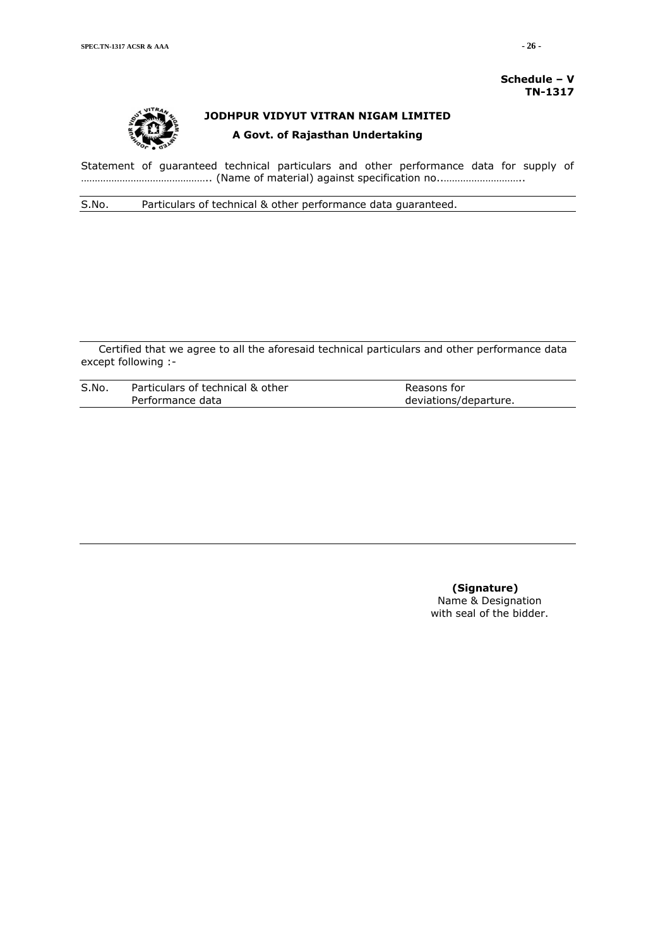**Schedule – V TN-1317**



# **JODHPUR VIDYUT VITRAN NIGAM LIMITED A Govt. of Rajasthan Undertaking**

Statement of guaranteed technical particulars and other performance data for supply of ……………………………………….. (Name of material) against specification no..………………………..

S.No. Particulars of technical & other performance data guaranteed.

Certified that we agree to all the aforesaid technical particulars and other performance data except following :-

| S.No. | Particulars of technical & other | Reasons for           |
|-------|----------------------------------|-----------------------|
|       | Performance data                 | deviations/departure. |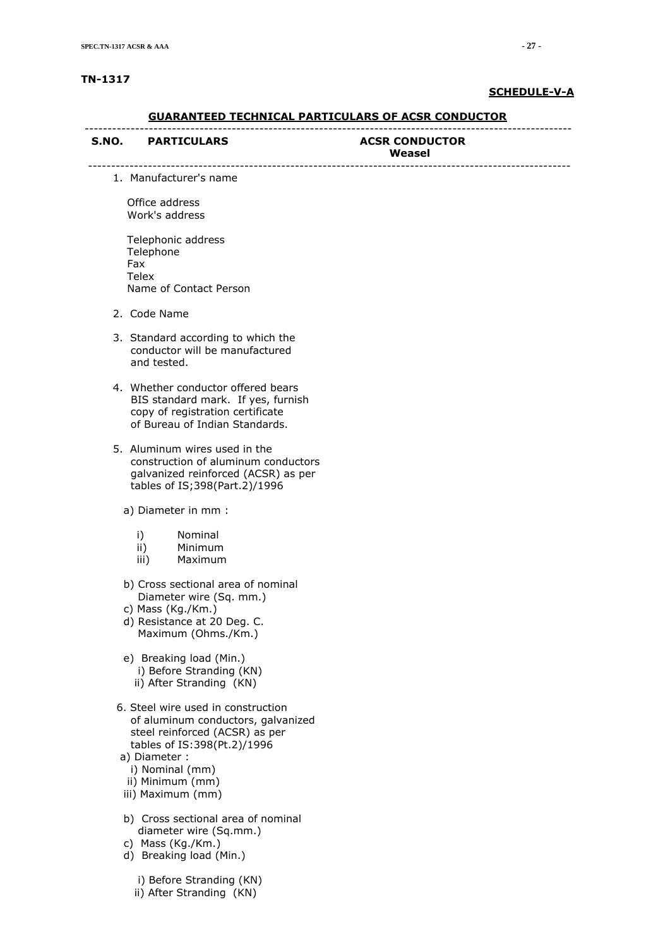#### **TN-1317**

#### **SCHEDULE-V-A**

#### **GUARANTEED TECHNICAL PARTICULARS OF ACSR CONDUCTOR** ----------------------------------------------------------------------------------------------------------

---------------------------------------------------------------------------------------------------------

#### S.NO. PARTICULARS ACSR CONDUCTOR

# **Weasel**

1. Manufacturer's name

 Office address Work's address

 Telephonic address Telephone Fax Telex Name of Contact Person

- 2. Code Name
- 3. Standard according to which the conductor will be manufactured and tested.
- 4. Whether conductor offered bears BIS standard mark. If yes, furnish copy of registration certificate of Bureau of Indian Standards.
- 5. Aluminum wires used in the construction of aluminum conductors galvanized reinforced (ACSR) as per tables of IS;398(Part.2)/1996

a) Diameter in mm :

- i) Nominal
- ii) Minimum
- iii) Maximum
- b) Cross sectional area of nominal Diameter wire (Sq. mm.)
- c) Mass (Kg./Km.)
- d) Resistance at 20 Deg. C. Maximum (Ohms./Km.)
- e) Breaking load (Min.) i) Before Stranding (KN) ii) After Stranding (KN)
- 6. Steel wire used in construction of aluminum conductors, galvanized steel reinforced (ACSR) as per tables of IS:398(Pt.2)/1996
- a) Diameter :
	- i) Nominal (mm)
	- ii) Minimum (mm)
- iii) Maximum (mm)
- b) Cross sectional area of nominal diameter wire (Sq.mm.)
- c) Mass (Kg./Km.)
- d) Breaking load (Min.)
	- i) Before Stranding (KN)

ii) After Stranding (KN)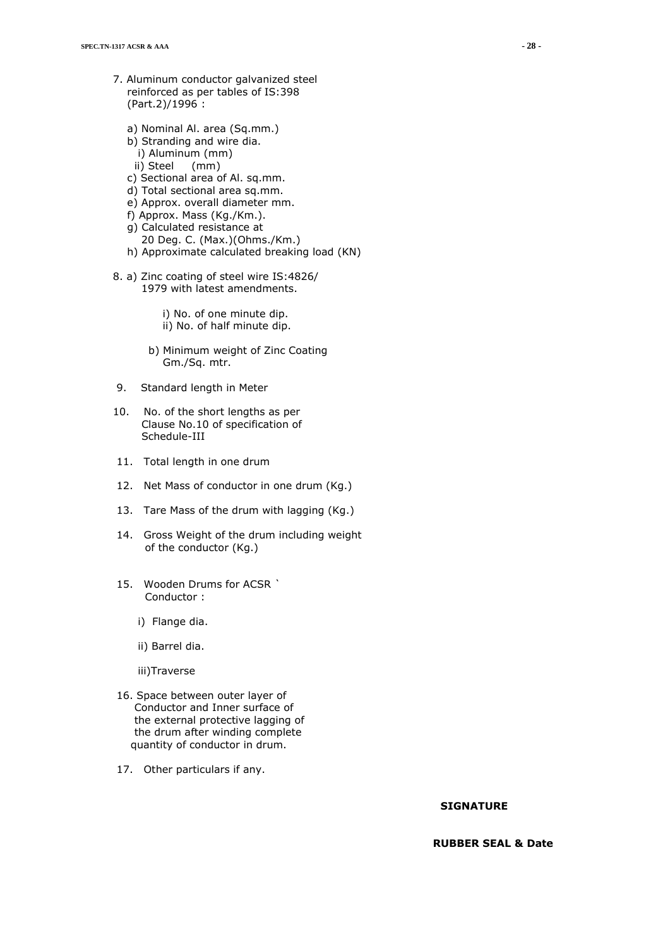- 7. Aluminum conductor galvanized steel reinforced as per tables of IS:398 (Part.2)/1996 :
	- a) Nominal Al. area (Sq.mm.)
	- b) Stranding and wire dia. i) Aluminum (mm)
	- ii) Steel (mm)
	- c) Sectional area of Al. sq.mm.
	- d) Total sectional area sq.mm.
	- e) Approx. overall diameter mm.
	- f) Approx. Mass (Kg./Km.).
	- g) Calculated resistance at
	- 20 Deg. C. (Max.)(Ohms./Km.)
	- h) Approximate calculated breaking load (KN)
- 8. a) Zinc coating of steel wire IS:4826/ 1979 with latest amendments.
	- i) No. of one minute dip. ii) No. of half minute dip.
	- b) Minimum weight of Zinc Coating Gm./Sq. mtr.
- 9. Standard length in Meter
- 10. No. of the short lengths as per Clause No.10 of specification of Schedule-III
- 11. Total length in one drum
- 12. Net Mass of conductor in one drum (Kg.)
- 13. Tare Mass of the drum with lagging (Kg.)
- 14. Gross Weight of the drum including weight of the conductor (Kg.)
- 15. Wooden Drums for ACSR ` Conductor :
	- i) Flange dia.
	- ii) Barrel dia.
	- iii)Traverse
- 16. Space between outer layer of Conductor and Inner surface of the external protective lagging of the drum after winding complete quantity of conductor in drum.
- 17. Other particulars if any.

 **RUBBER SEAL & Date**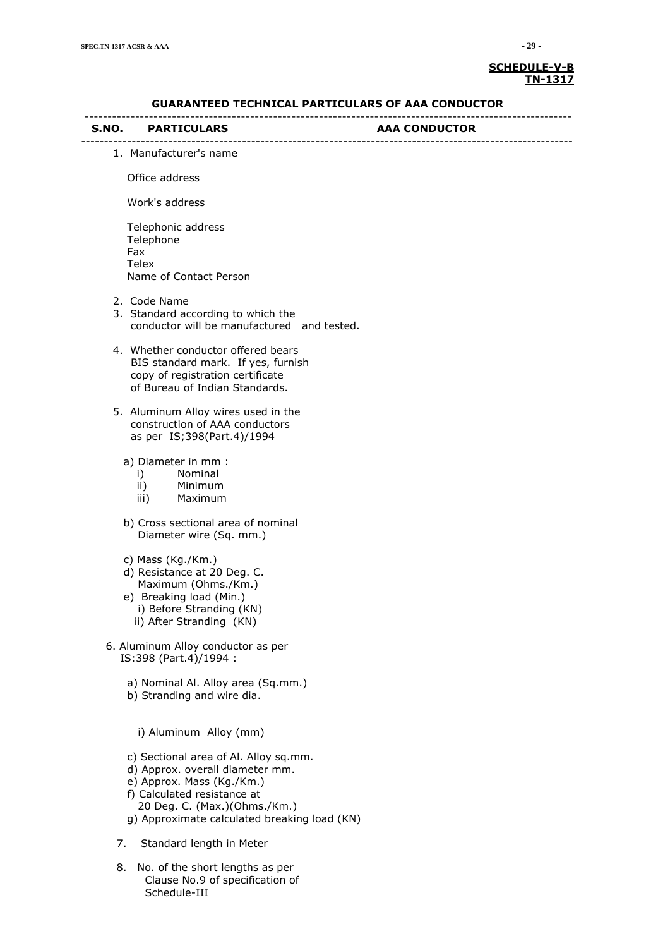#### **SCHEDULE-V-B TN-1317**

| <u>GUARANTEED TECHNICAL PARTICULARS OF AAA CONDUCTOR</u>                                                                                                                                                             |               |  |  |
|----------------------------------------------------------------------------------------------------------------------------------------------------------------------------------------------------------------------|---------------|--|--|
| S.NO. PARTICULARS                                                                                                                                                                                                    | AAA CONDUCTOR |  |  |
| 1. Manufacturer's name                                                                                                                                                                                               |               |  |  |
| Office address                                                                                                                                                                                                       |               |  |  |
| Work's address                                                                                                                                                                                                       |               |  |  |
| Telephonic address<br>Telephone<br>Fax<br><b>Telex</b><br>Name of Contact Person                                                                                                                                     |               |  |  |
| 2. Code Name<br>3. Standard according to which the<br>conductor will be manufactured and tested.                                                                                                                     |               |  |  |
| 4. Whether conductor offered bears<br>BIS standard mark. If yes, furnish<br>copy of registration certificate<br>of Bureau of Indian Standards.                                                                       |               |  |  |
| 5. Aluminum Alloy wires used in the<br>construction of AAA conductors<br>as per IS;398(Part.4)/1994                                                                                                                  |               |  |  |
| a) Diameter in mm :<br>i) Nominal<br>ii) Minimum<br>iii) Maximum                                                                                                                                                     |               |  |  |
| b) Cross sectional area of nominal<br>Diameter wire (Sq. mm.)                                                                                                                                                        |               |  |  |
| c) Mass (Kg./Km.)<br>d) Resistance at 20 Deg. C.<br>Maximum (Ohms./Km.)<br>e) Breaking load (Min.)<br>i) Before Stranding (KN)<br>ii) After Stranding (KN)                                                           |               |  |  |
| 6. Aluminum Alloy conductor as per<br>IS:398 (Part.4)/1994 :                                                                                                                                                         |               |  |  |
| a) Nominal Al. Alloy area (Sq.mm.)<br>b) Stranding and wire dia.                                                                                                                                                     |               |  |  |
| i) Aluminum Alloy (mm)                                                                                                                                                                                               |               |  |  |
| c) Sectional area of Al. Alloy sq.mm.<br>d) Approx. overall diameter mm.<br>e) Approx. Mass (Kg./Km.)<br>f) Calculated resistance at<br>20 Deg. C. (Max.)(Ohms./Km.)<br>g) Approximate calculated breaking load (KN) |               |  |  |

- 7. Standard length in Meter
- 8. No. of the short lengths as per Clause No.9 of specification of Schedule-III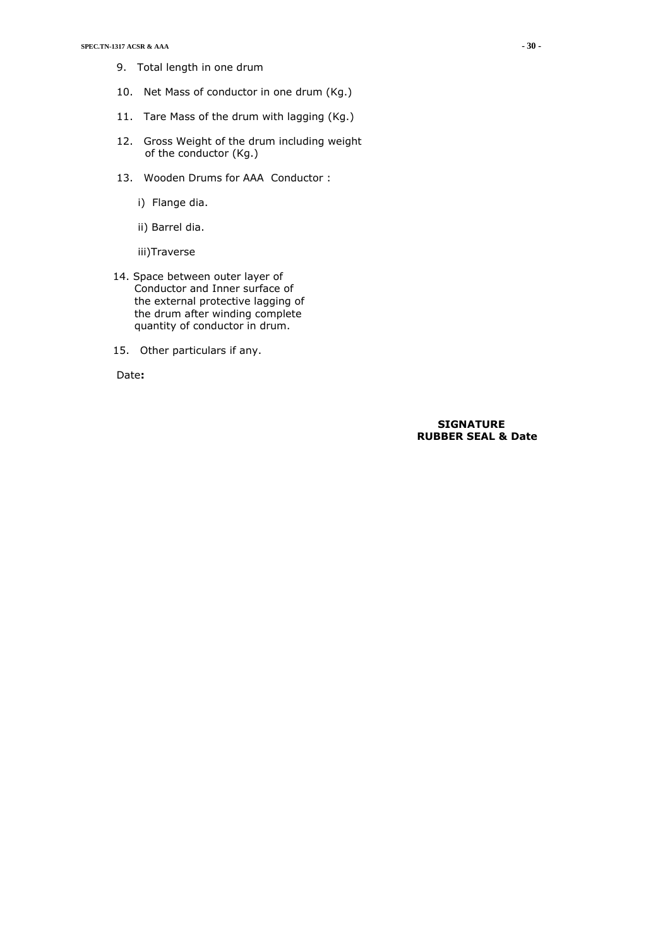- 9. Total length in one drum
- 10. Net Mass of conductor in one drum (Kg.)
- 11. Tare Mass of the drum with lagging (Kg.)
- 12. Gross Weight of the drum including weight of the conductor (Kg.)
- 13. Wooden Drums for AAA Conductor :
	- i) Flange dia.
	- ii) Barrel dia.

iii)Traverse

- 14. Space between outer layer of Conductor and Inner surface of the external protective lagging of the drum after winding complete quantity of conductor in drum.
- 15. Other particulars if any.

Date**:** 

#### **SIGNATURE RUBBER SEAL & Date**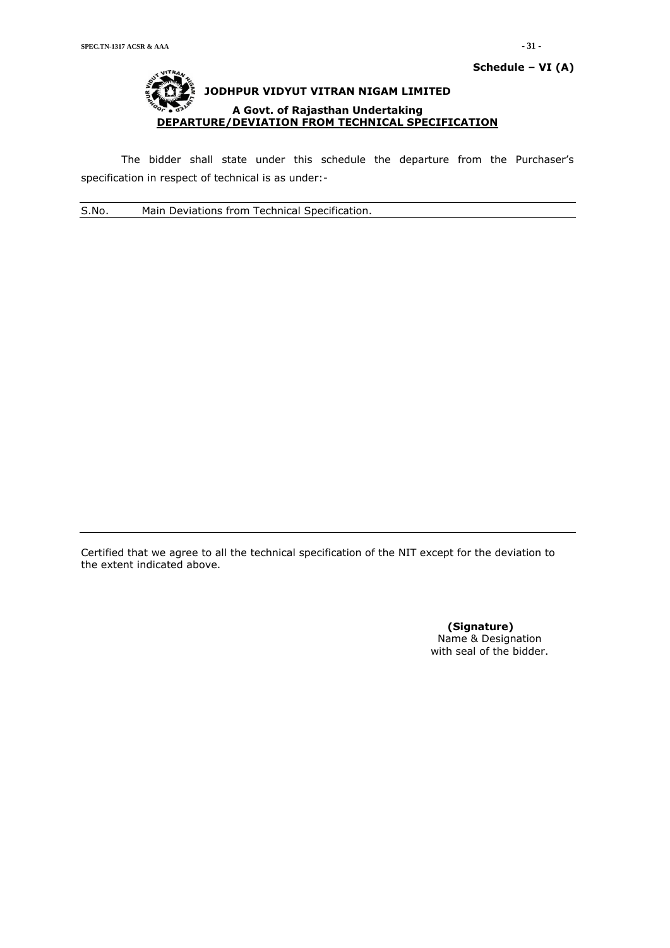The bidder shall state under this schedule the departure from the Purchaser's specification in respect of technical is as under:-

S.No. Main Deviations from Technical Specification.

Certified that we agree to all the technical specification of the NIT except for the deviation to the extent indicated above.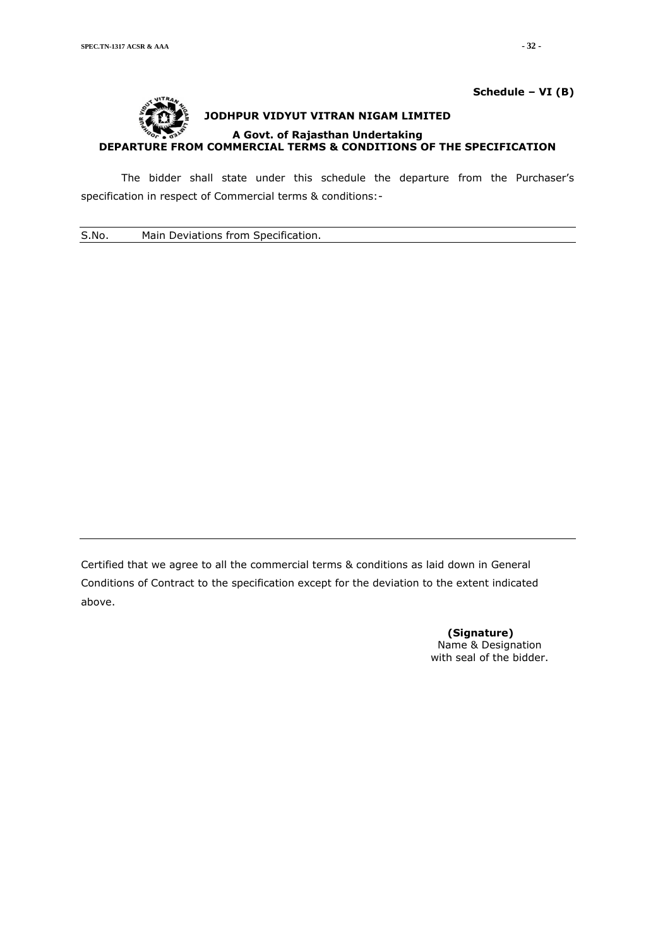

# **Schedule – VI (B)**

**JODHPUR VIDYUT VITRAN NIGAM LIMITED A Govt. of Rajasthan Undertaking DEPARTURE FROM COMMERCIAL TERMS & CONDITIONS OF THE SPECIFICATION**

The bidder shall state under this schedule the departure from the Purchaser's specification in respect of Commercial terms & conditions:-

S.No. Main Deviations from Specification.

Certified that we agree to all the commercial terms & conditions as laid down in General Conditions of Contract to the specification except for the deviation to the extent indicated above.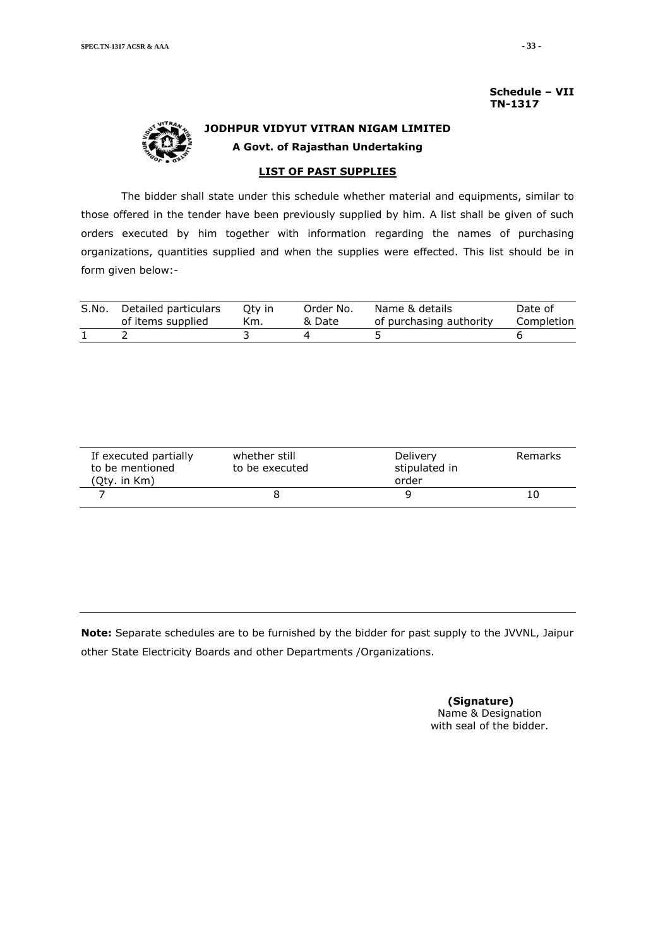**Schedule – VII TN-1317**



# **JODHPUR VIDYUT VITRAN NIGAM LIMITED A Govt. of Rajasthan Undertaking**

**LIST OF PAST SUPPLIES**

The bidder shall state under this schedule whether material and equipments, similar to those offered in the tender have been previously supplied by him. A list shall be given of such orders executed by him together with information regarding the names of purchasing organizations, quantities supplied and when the supplies were effected. This list should be in form given below:-

|       | of items supplied    | Km.    | & Date    | of purchasing authority | Completion |
|-------|----------------------|--------|-----------|-------------------------|------------|
| S.No. | Detailed particulars | Otv in | Order No. | Name & details          | Date of    |

| If executed partially<br>to be mentioned<br>(Qty. in Km) | whether still<br>to be executed |  | Remarks |
|----------------------------------------------------------|---------------------------------|--|---------|
|                                                          |                                 |  | 10      |

**Note:** Separate schedules are to be furnished by the bidder for past supply to the JVVNL, Jaipur other State Electricity Boards and other Departments /Organizations.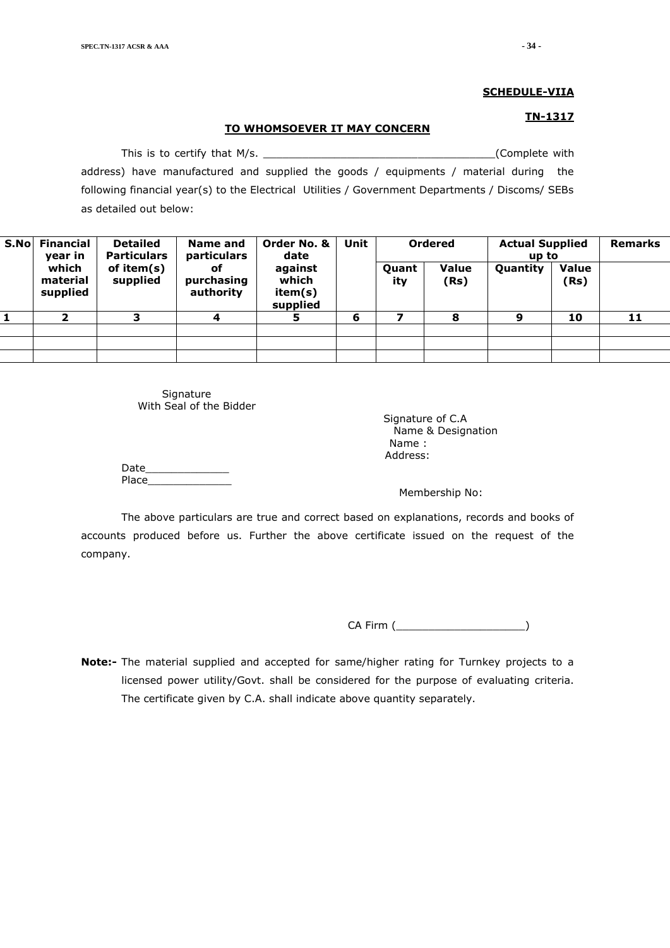#### **TO WHOMSOEVER IT MAY CONCERN**

This is to certify that M/s. \_\_\_\_\_\_\_\_\_\_\_\_\_\_\_\_\_\_\_\_\_\_\_\_\_\_\_\_\_\_\_\_\_\_\_\_(Complete with address) have manufactured and supplied the goods / equipments / material during the following financial year(s) to the Electrical Utilities / Government Departments / Discoms/ SEBs as detailed out below:

| S.Nol | <b>Financial</b><br>year in   | <b>Detailed</b><br><b>Particulars</b> | <b>Name and</b><br>particulars | Order No. &<br>date                     | <b>Unit</b> |                     |                      | <b>Ordered</b> | <b>Actual Supplied</b><br>up to |    | <b>Remarks</b> |
|-------|-------------------------------|---------------------------------------|--------------------------------|-----------------------------------------|-------------|---------------------|----------------------|----------------|---------------------------------|----|----------------|
|       | which<br>material<br>supplied | of item(s)<br>supplied                | оf<br>purchasing<br>authority  | against<br>which<br>item(s)<br>supplied |             | <b>Quant</b><br>ity | <b>Value</b><br>(Rs) | Quantity       | <b>Value</b><br>(Rs)            |    |                |
|       |                               | 3                                     | 4                              | 5                                       | 6           | ⇁                   | 8                    | 9              | 10                              | 11 |                |
|       |                               |                                       |                                |                                         |             |                     |                      |                |                                 |    |                |
|       |                               |                                       |                                |                                         |             |                     |                      |                |                                 |    |                |
|       |                               |                                       |                                |                                         |             |                     |                      |                |                                 |    |                |

Signature With Seal of the Bidder

 Signature of C.A Name & Designation Name : Address:

Date\_\_\_\_\_\_\_\_\_\_\_\_\_ Place

Membership No:

The above particulars are true and correct based on explanations, records and books of accounts produced before us. Further the above certificate issued on the request of the company.

CA Firm (  $\qquad \qquad$  )

**Note:-** The material supplied and accepted for same/higher rating for Turnkey projects to a licensed power utility/Govt. shall be considered for the purpose of evaluating criteria. The certificate given by C.A. shall indicate above quantity separately.

**TN-1317**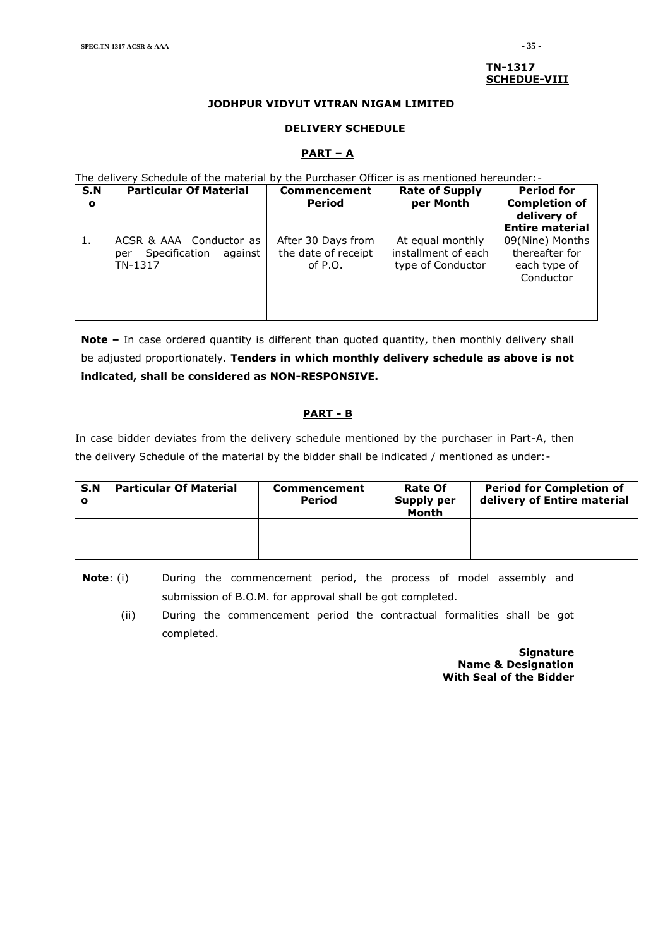#### **TN-1317 SCHEDUE-VIII**

#### **JODHPUR VIDYUT VITRAN NIGAM LIMITED**

#### **DELIVERY SCHEDULE**

#### **PART – A**

The delivery Schedule of the material by the Purchaser Officer is as mentioned hereunder:-

| S.N<br>$\mathbf{o}$ | <b>Particular Of Material</b>                                         | <b>Commencement</b><br><b>Period</b>                   | <b>Rate of Supply</b><br>per Month                           | <b>Period for</b><br><b>Completion of</b><br>delivery of<br><b>Entire material</b> |
|---------------------|-----------------------------------------------------------------------|--------------------------------------------------------|--------------------------------------------------------------|------------------------------------------------------------------------------------|
|                     | ACSR & AAA Conductor as<br>Specification<br>against<br>per<br>TN-1317 | After 30 Days from<br>the date of receipt<br>of $P.O.$ | At equal monthly<br>installment of each<br>type of Conductor | 09(Nine) Months<br>thereafter for<br>each type of<br>Conductor                     |

**Note –** In case ordered quantity is different than quoted quantity, then monthly delivery shall be adjusted proportionately. **Tenders in which monthly delivery schedule as above is not indicated, shall be considered as NON-RESPONSIVE.**

## **PART - B**

In case bidder deviates from the delivery schedule mentioned by the purchaser in Part-A, then the delivery Schedule of the material by the bidder shall be indicated / mentioned as under:-

| S.N | <b>Particular Of Material</b> | <b>Commencement</b><br><b>Period</b> | <b>Rate Of</b><br><b>Supply per</b><br>Month | <b>Period for Completion of</b><br>delivery of Entire material |
|-----|-------------------------------|--------------------------------------|----------------------------------------------|----------------------------------------------------------------|
|     |                               |                                      |                                              |                                                                |

**Note**: (i) During the commencement period, the process of model assembly and submission of B.O.M. for approval shall be got completed.

(ii) During the commencement period the contractual formalities shall be got completed.